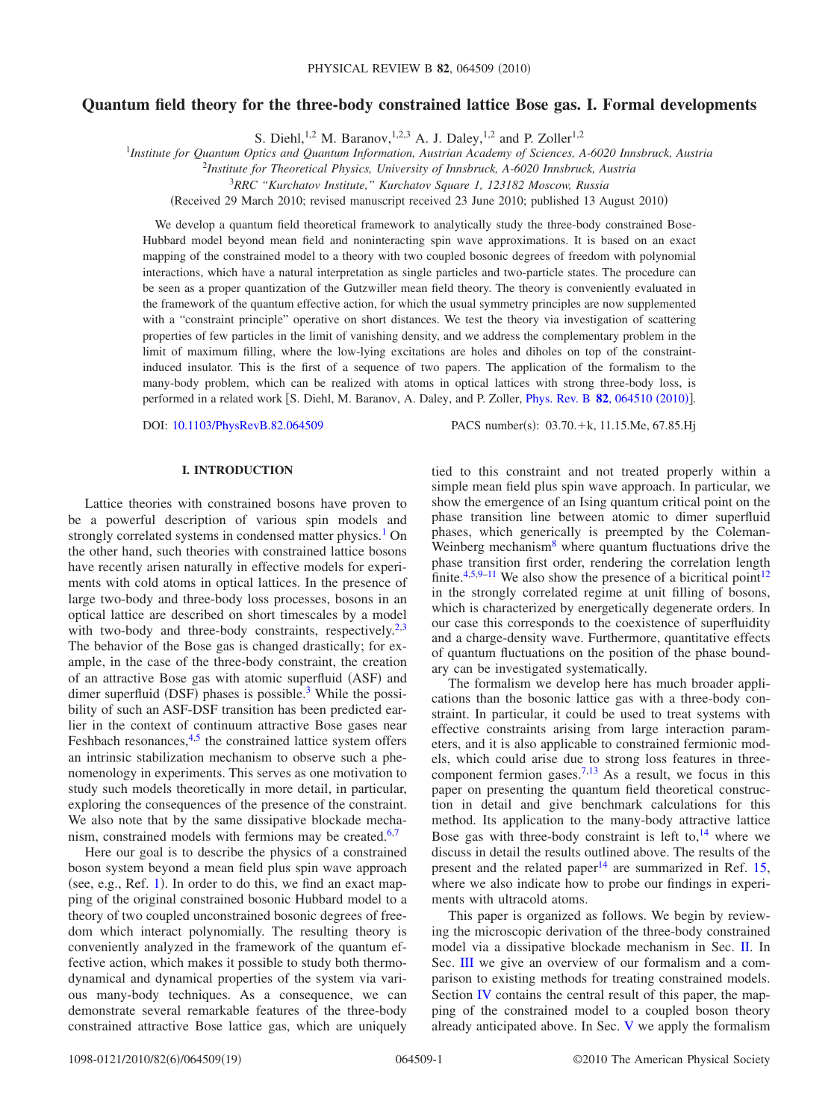# **Quantum field theory for the three-body constrained lattice Bose gas. I. Formal developments**

S. Diehl,<sup>1,2</sup> M. Baranov,<sup>1,2,3</sup> A. J. Daley,<sup>1,2</sup> and P. Zoller<sup>1,2</sup>

1 *Institute for Quantum Optics and Quantum Information, Austrian Academy of Sciences, A-6020 Innsbruck, Austria*

2 *Institute for Theoretical Physics, University of Innsbruck, A-6020 Innsbruck, Austria*

<sup>3</sup>*RRC "Kurchatov Institute," Kurchatov Square 1, 123182 Moscow, Russia*

(Received 29 March 2010; revised manuscript received 23 June 2010; published 13 August 2010)

We develop a quantum field theoretical framework to analytically study the three-body constrained Bose-Hubbard model beyond mean field and noninteracting spin wave approximations. It is based on an exact mapping of the constrained model to a theory with two coupled bosonic degrees of freedom with polynomial interactions, which have a natural interpretation as single particles and two-particle states. The procedure can be seen as a proper quantization of the Gutzwiller mean field theory. The theory is conveniently evaluated in the framework of the quantum effective action, for which the usual symmetry principles are now supplemented with a "constraint principle" operative on short distances. We test the theory via investigation of scattering properties of few particles in the limit of vanishing density, and we address the complementary problem in the limit of maximum filling, where the low-lying excitations are holes and diholes on top of the constraintinduced insulator. This is the first of a sequence of two papers. The application of the formalism to the many-body problem, which can be realized with atoms in optical lattices with strong three-body loss, is performed in a related work [S. Diehl, M. Baranov, A. Daley, and P. Zoller, *[Phys. Rev. B](http://dx.doi.org/10.1103/PhysRevB.82.064510)* **82**, 064510 (2010)].

DOI: [10.1103/PhysRevB.82.064509](http://dx.doi.org/10.1103/PhysRevB.82.064509)

PACS number(s): 03.70.+k, 11.15.Me, 67.85.Hj

## **I. INTRODUCTION**

Lattice theories with constrained bosons have proven to be a powerful description of various spin models and strongly correlated systems in condensed matter physics.<sup>1</sup> On the other hand, such theories with constrained lattice bosons have recently arisen naturally in effective models for experiments with cold atoms in optical lattices. In the presence of large two-body and three-body loss processes, bosons in an optical lattice are described on short timescales by a model with two-body and three-body constraints, respectively.<sup>2[,3](#page-17-2)</sup> The behavior of the Bose gas is changed drastically; for example, in the case of the three-body constraint, the creation of an attractive Bose gas with atomic superfluid (ASF) and dimer superfluid (DSF) phases is possible.<sup>3</sup> While the possibility of such an ASF-DSF transition has been predicted earlier in the context of continuum attractive Bose gases near Feshbach resonances, $4.5$  the constrained lattice system offers an intrinsic stabilization mechanism to observe such a phenomenology in experiments. This serves as one motivation to study such models theoretically in more detail, in particular, exploring the consequences of the presence of the constraint. We also note that by the same dissipative blockade mechanism, constrained models with fermions may be created. $6,7$  $6,7$ 

Here our goal is to describe the physics of a constrained boson system beyond a mean field plus spin wave approach (see, e.g., Ref. [1](#page-17-0)). In order to do this, we find an exact mapping of the original constrained bosonic Hubbard model to a theory of two coupled unconstrained bosonic degrees of freedom which interact polynomially. The resulting theory is conveniently analyzed in the framework of the quantum effective action, which makes it possible to study both thermodynamical and dynamical properties of the system via various many-body techniques. As a consequence, we can demonstrate several remarkable features of the three-body constrained attractive Bose lattice gas, which are uniquely tied to this constraint and not treated properly within a simple mean field plus spin wave approach. In particular, we show the emergence of an Ising quantum critical point on the phase transition line between atomic to dimer superfluid phases, which generically is preempted by the Coleman-Weinberg mechanism $8$  where quantum fluctuations drive the phase transition first order, rendering the correlation length finite.<sup>4[,5](#page-17-4)[,9](#page-17-8)[–11](#page-17-9)</sup> We also show the presence of a bicritical point<sup>12</sup> in the strongly correlated regime at unit filling of bosons, which is characterized by energetically degenerate orders. In our case this corresponds to the coexistence of superfluidity and a charge-density wave. Furthermore, quantitative effects of quantum fluctuations on the position of the phase boundary can be investigated systematically.

The formalism we develop here has much broader applications than the bosonic lattice gas with a three-body constraint. In particular, it could be used to treat systems with effective constraints arising from large interaction parameters, and it is also applicable to constrained fermionic models, which could arise due to strong loss features in three-component fermion gases.<sup>7,[13](#page-17-11)</sup> As a result, we focus in this paper on presenting the quantum field theoretical construction in detail and give benchmark calculations for this method. Its application to the many-body attractive lattice Bose gas with three-body constraint is left to, $14$  where we discuss in detail the results outlined above. The results of the present and the related paper<sup>14</sup> are summarized in Ref. [15,](#page-17-13) where we also indicate how to probe our findings in experiments with ultracold atoms.

This paper is organized as follows. We begin by reviewing the microscopic derivation of the three-body constrained model via a dissipative blockade mechanism in Sec. [II.](#page-1-0) In Sec. [III](#page-1-1) we give an overview of our formalism and a comparison to existing methods for treating constrained models. Section [IV](#page-2-0) contains the central result of this paper, the mapping of the constrained model to a coupled boson theory already anticipated above. In Sec. [V](#page-7-0) we apply the formalism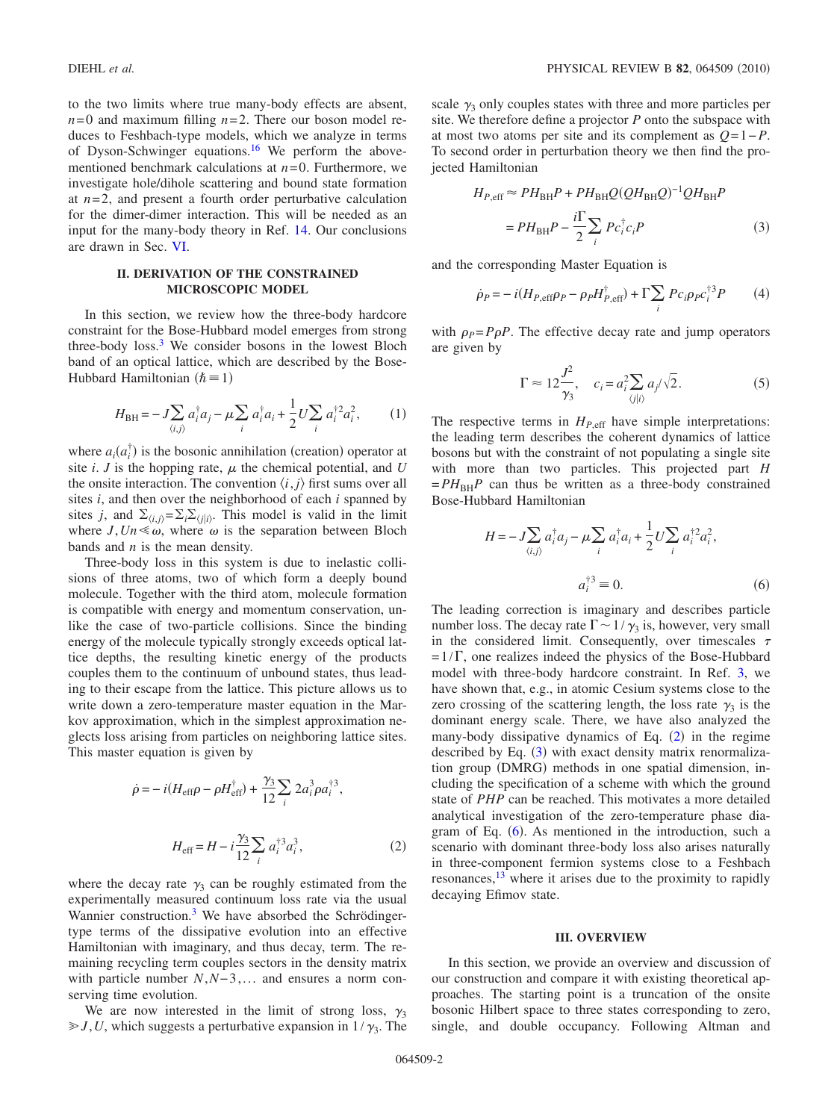to the two limits where true many-body effects are absent,  $n=0$  and maximum filling  $n=2$ . There our boson model reduces to Feshbach-type models, which we analyze in terms of Dyson-Schwinger equations.<sup>16</sup> We perform the abovementioned benchmark calculations at *n*= 0. Furthermore, we investigate hole/dihole scattering and bound state formation at  $n=2$ , and present a fourth order perturbative calculation for the dimer-dimer interaction. This will be needed as an input for the many-body theory in Ref. [14.](#page-17-12) Our conclusions are drawn in Sec. [VI.](#page-14-0)

## **II. DERIVATION OF THE CONSTRAINED MICROSCOPIC MODEL**

<span id="page-1-0"></span>In this section, we review how the three-body hardcore constraint for the Bose-Hubbard model emerges from strong three-body  $loss<sup>3</sup>$  We consider bosons in the lowest Bloch band of an optical lattice, which are described by the Bose-Hubbard Hamiltonian  $(\hbar \equiv 1)$ 

$$
H_{\rm BH} = -J\sum_{\langle i,j\rangle} a_i^{\dagger} a_j - \mu \sum_i a_i^{\dagger} a_i + \frac{1}{2} U \sum_i a_i^{\dagger 2} a_i^2, \qquad (1)
$$

where  $a_i(a_i^{\dagger})$  is the bosonic annihilation (creation) operator at site *i*. *J* is the hopping rate,  $\mu$  the chemical potential, and *U* the onsite interaction. The convention  $\langle i, j \rangle$  first sums over all sites *i*, and then over the neighborhood of each *i* spanned by sites *j*, and  $\Sigma_{\langle i,j \rangle} = \Sigma_i \Sigma_{\langle j|i \rangle}$ . This model is valid in the limit where  $J, Un \ll \omega$ , where  $\omega$  is the separation between Bloch bands and *n* is the mean density.

Three-body loss in this system is due to inelastic collisions of three atoms, two of which form a deeply bound molecule. Together with the third atom, molecule formation is compatible with energy and momentum conservation, unlike the case of two-particle collisions. Since the binding energy of the molecule typically strongly exceeds optical lattice depths, the resulting kinetic energy of the products couples them to the continuum of unbound states, thus leading to their escape from the lattice. This picture allows us to write down a zero-temperature master equation in the Markov approximation, which in the simplest approximation neglects loss arising from particles on neighboring lattice sites. This master equation is given by

<span id="page-1-2"></span>
$$
\dot{\rho} = -i(H_{\text{eff}}\rho - \rho H_{\text{eff}}^{\dagger}) + \frac{\gamma_3}{12} \sum_{i} 2a_i^3 \rho a_i^{33},
$$
  

$$
H_{\text{eff}} = H - i \frac{\gamma_3}{12} \sum_{i} a_i^{33} a_i^{3},
$$
 (2)

where the decay rate  $\gamma_3$  can be roughly estimated from the experimentally measured continuum loss rate via the usual Wannier construction.<sup>3</sup> We have absorbed the Schrödingertype terms of the dissipative evolution into an effective Hamiltonian with imaginary, and thus decay, term. The remaining recycling term couples sectors in the density matrix with particle number *N*,*N*− 3,... and ensures a norm conserving time evolution.

We are now interested in the limit of strong loss,  $\gamma_3$  $\gg$ *J*,*U*, which suggests a perturbative expansion in 1/ $\gamma_3$ . The

scale  $\gamma_3$  only couples states with three and more particles per site. We therefore define a projector *P* onto the subspace with at most two atoms per site and its complement as *Q*=1−*P*. To second order in perturbation theory we then find the projected Hamiltonian

<span id="page-1-3"></span>
$$
H_{P,eff} \approx PH_{BH}P + PH_{BH}Q(QH_{BH}Q)^{-1}QH_{BH}P
$$

$$
= PH_{BH}P - \frac{i\Gamma}{2}\sum_{i}Pc_{i}^{\dagger}c_{i}P
$$
(3)

and the corresponding Master Equation is

$$
\dot{\rho}_P = -i(H_{P,\text{eff}}\rho_P - \rho_P H_{P,\text{eff}}^{\dagger}) + \Gamma \sum_i P_{C_i} \rho_P c_i^{\dagger 3} P \tag{4}
$$

with  $\rho_P = P \rho P$ . The effective decay rate and jump operators are given by

$$
\Gamma \approx 12 \frac{J^2}{\gamma_3}, \quad c_i = a_i^2 \sum_{\langle j|i \rangle} a_j / \sqrt{2}.
$$
 (5)

The respective terms in  $H_{P,eff}$  have simple interpretations: the leading term describes the coherent dynamics of lattice bosons but with the constraint of not populating a single site with more than two particles. This projected part *H*  $=PH_{\text{BH}}P$  can thus be written as a three-body constrained Bose-Hubbard Hamiltonian

<span id="page-1-4"></span>
$$
H = -J\sum_{\langle i,j\rangle} a_i^{\dagger} a_j - \mu \sum_i a_i^{\dagger} a_i + \frac{1}{2} U \sum_i a_i^{\dagger 2} a_i^2,
$$
  

$$
a_i^{\dagger 3} \equiv 0.
$$
 (6)

The leading correction is imaginary and describes particle number loss. The decay rate  $\Gamma \sim 1/\gamma_3$  is, however, very small in the considered limit. Consequently, over timescales  $\tau$  $= 1/\Gamma$ , one realizes indeed the physics of the Bose-Hubbard model with three-body hardcore constraint. In Ref. [3,](#page-17-2) we have shown that, e.g., in atomic Cesium systems close to the zero crossing of the scattering length, the loss rate  $\gamma_3$  is the dominant energy scale. There, we have also analyzed the many-body dissipative dynamics of Eq.  $(2)$  $(2)$  $(2)$  in the regime described by Eq.  $(3)$  $(3)$  $(3)$  with exact density matrix renormalization group (DMRG) methods in one spatial dimension, including the specification of a scheme with which the ground state of *PHP* can be reached. This motivates a more detailed analytical investigation of the zero-temperature phase diagram of Eq.  $(6)$  $(6)$  $(6)$ . As mentioned in the introduction, such a scenario with dominant three-body loss also arises naturally in three-component fermion systems close to a Feshbach resonances,<sup>13</sup> where it arises due to the proximity to rapidly decaying Efimov state.

## **III. OVERVIEW**

<span id="page-1-1"></span>In this section, we provide an overview and discussion of our construction and compare it with existing theoretical approaches. The starting point is a truncation of the onsite bosonic Hilbert space to three states corresponding to zero, single, and double occupancy. Following Altman and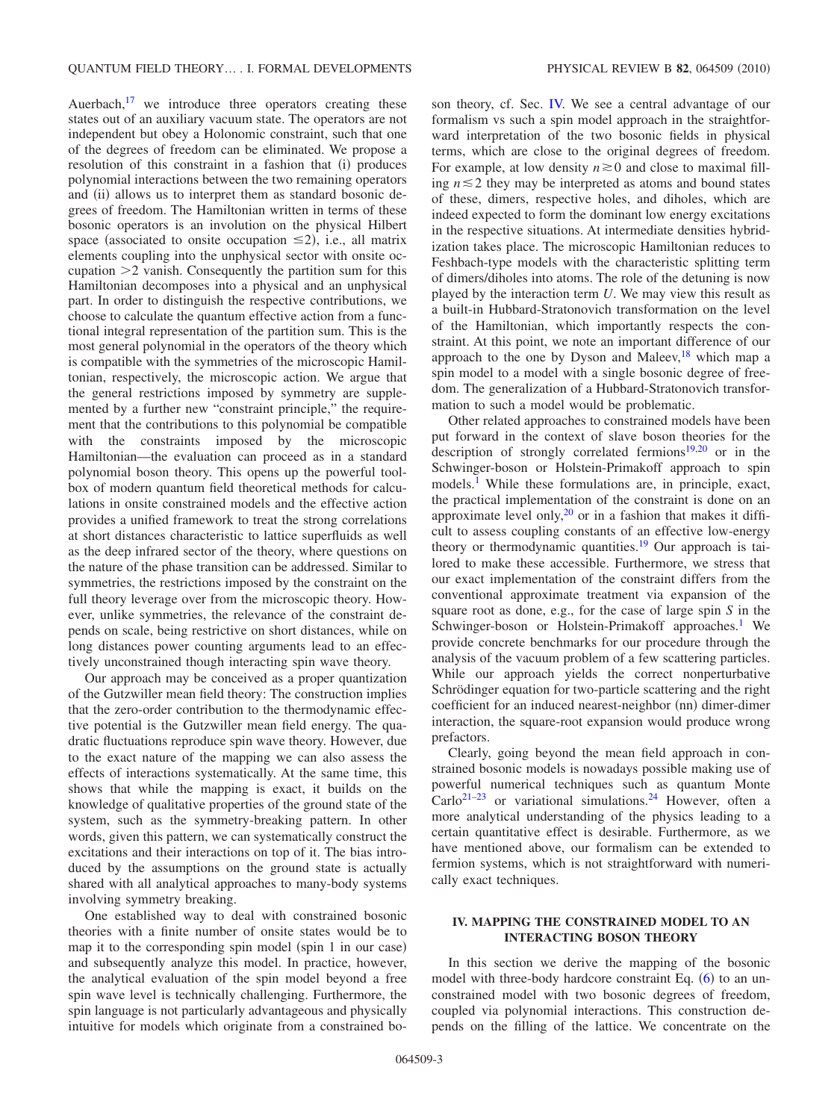Auerbach,<sup>17</sup> we introduce three operators creating these states out of an auxiliary vacuum state. The operators are not independent but obey a Holonomic constraint, such that one of the degrees of freedom can be eliminated. We propose a resolution of this constraint in a fashion that (i) produces polynomial interactions between the two remaining operators and (ii) allows us to interpret them as standard bosonic degrees of freedom. The Hamiltonian written in terms of these bosonic operators is an involution on the physical Hilbert space (associated to onsite occupation  $\leq$ 2), i.e., all matrix elements coupling into the unphysical sector with onsite occupation  $>2$  vanish. Consequently the partition sum for this Hamiltonian decomposes into a physical and an unphysical part. In order to distinguish the respective contributions, we choose to calculate the quantum effective action from a functional integral representation of the partition sum. This is the most general polynomial in the operators of the theory which is compatible with the symmetries of the microscopic Hamiltonian, respectively, the microscopic action. We argue that the general restrictions imposed by symmetry are supplemented by a further new "constraint principle," the requirement that the contributions to this polynomial be compatible with the constraints imposed by the microscopic Hamiltonian—the evaluation can proceed as in a standard polynomial boson theory. This opens up the powerful toolbox of modern quantum field theoretical methods for calculations in onsite constrained models and the effective action provides a unified framework to treat the strong correlations at short distances characteristic to lattice superfluids as well as the deep infrared sector of the theory, where questions on the nature of the phase transition can be addressed. Similar to symmetries, the restrictions imposed by the constraint on the full theory leverage over from the microscopic theory. However, unlike symmetries, the relevance of the constraint depends on scale, being restrictive on short distances, while on long distances power counting arguments lead to an effectively unconstrained though interacting spin wave theory.

Our approach may be conceived as a proper quantization of the Gutzwiller mean field theory: The construction implies that the zero-order contribution to the thermodynamic effective potential is the Gutzwiller mean field energy. The quadratic fluctuations reproduce spin wave theory. However, due to the exact nature of the mapping we can also assess the effects of interactions systematically. At the same time, this shows that while the mapping is exact, it builds on the knowledge of qualitative properties of the ground state of the system, such as the symmetry-breaking pattern. In other words, given this pattern, we can systematically construct the excitations and their interactions on top of it. The bias introduced by the assumptions on the ground state is actually shared with all analytical approaches to many-body systems involving symmetry breaking.

One established way to deal with constrained bosonic theories with a finite number of onsite states would be to map it to the corresponding spin model (spin 1 in our case) and subsequently analyze this model. In practice, however, the analytical evaluation of the spin model beyond a free spin wave level is technically challenging. Furthermore, the spin language is not particularly advantageous and physically intuitive for models which originate from a constrained boson theory, cf. Sec. [IV.](#page-2-0) We see a central advantage of our formalism vs such a spin model approach in the straightforward interpretation of the two bosonic fields in physical terms, which are close to the original degrees of freedom. For example, at low density  $n \ge 0$  and close to maximal filling  $n \leq 2$  they may be interpreted as atoms and bound states of these, dimers, respective holes, and diholes, which are indeed expected to form the dominant low energy excitations in the respective situations. At intermediate densities hybridization takes place. The microscopic Hamiltonian reduces to Feshbach-type models with the characteristic splitting term of dimers/diholes into atoms. The role of the detuning is now played by the interaction term *U*. We may view this result as a built-in Hubbard-Stratonovich transformation on the level of the Hamiltonian, which importantly respects the constraint. At this point, we note an important difference of our approach to the one by Dyson and Maleev, $18$  which map a spin model to a model with a single bosonic degree of freedom. The generalization of a Hubbard-Stratonovich transformation to such a model would be problematic.

Other related approaches to constrained models have been put forward in the context of slave boson theories for the description of strongly correlated fermions<sup>19,[20](#page-18-0)</sup> or in the Schwinger-boson or Holstein-Primakoff approach to spin models.<sup>1</sup> While these formulations are, in principle, exact, the practical implementation of the constraint is done on an approximate level only, $^{20}$  or in a fashion that makes it difficult to assess coupling constants of an effective low-energy theory or thermodynamic quantities.<sup>19</sup> Our approach is tailored to make these accessible. Furthermore, we stress that our exact implementation of the constraint differs from the conventional approximate treatment via expansion of the square root as done, e.g., for the case of large spin *S* in the Schwinger-boson or Holstein-Primakoff approaches.<sup>1</sup> We provide concrete benchmarks for our procedure through the analysis of the vacuum problem of a few scattering particles. While our approach yields the correct nonperturbative Schrödinger equation for two-particle scattering and the right coefficient for an induced nearest-neighbor (nn) dimer-dimer interaction, the square-root expansion would produce wrong prefactors.

Clearly, going beyond the mean field approach in constrained bosonic models is nowadays possible making use of powerful numerical techniques such as quantum Monte  $Carlo<sup>21-23</sup>$  $Carlo<sup>21-23</sup>$  $Carlo<sup>21-23</sup>$  or variational simulations.<sup>24</sup> However, often a more analytical understanding of the physics leading to a certain quantitative effect is desirable. Furthermore, as we have mentioned above, our formalism can be extended to fermion systems, which is not straightforward with numerically exact techniques.

## <span id="page-2-0"></span>**IV. MAPPING THE CONSTRAINED MODEL TO AN INTERACTING BOSON THEORY**

In this section we derive the mapping of the bosonic model with three-body hardcore constraint Eq. ([6](#page-1-4)) to an unconstrained model with two bosonic degrees of freedom, coupled via polynomial interactions. This construction depends on the filling of the lattice. We concentrate on the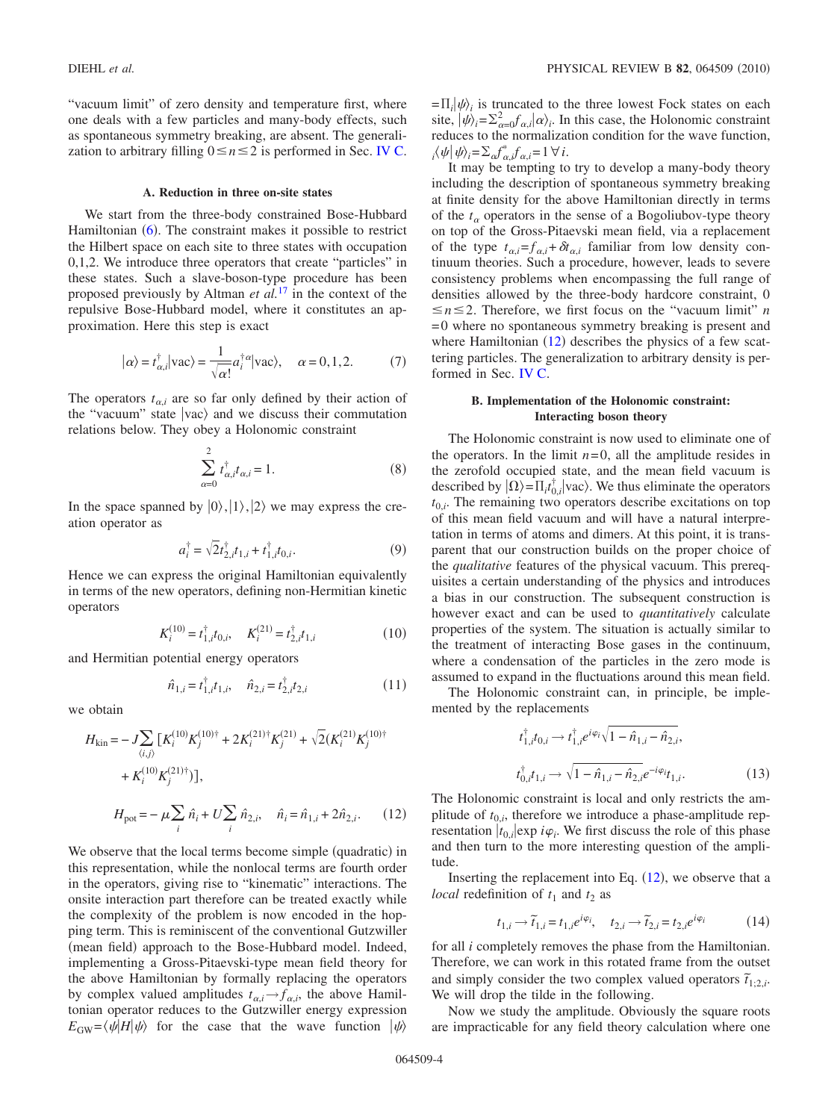"vacuum limit" of zero density and temperature first, where one deals with a few particles and many-body effects, such as spontaneous symmetry breaking, are absent. The generalization to arbitrary filling  $0 \le n \le 2$  is performed in Sec. [IV C.](#page-5-0)

### **A. Reduction in three on-site states**

We start from the three-body constrained Bose-Hubbard Hamiltonian ([6](#page-1-4)). The constraint makes it possible to restrict the Hilbert space on each site to three states with occupation 0,1,2. We introduce three operators that create "particles" in these states. Such a slave-boson-type procedure has been proposed previously by Altman *et al.*[17](#page-17-15) in the context of the repulsive Bose-Hubbard model, where it constitutes an approximation. Here this step is exact

$$
|\alpha\rangle = t_{\alpha,i}^{\dagger}|\text{vac}\rangle = \frac{1}{\sqrt{\alpha!}}a_i^{\dagger\alpha}|\text{vac}\rangle, \quad \alpha = 0, 1, 2. \tag{7}
$$

<span id="page-3-1"></span>The operators  $t_{\alpha,i}$  are so far only defined by their action of the "vacuum" state  $\vert vac \rangle$  and we discuss their commutation relations below. They obey a Holonomic constraint

$$
\sum_{\alpha=0}^{2} t_{\alpha,i}^{\dagger} t_{\alpha,i} = 1.
$$
 (8)

In the space spanned by  $|0\rangle, |1\rangle, |2\rangle$  we may express the creation operator as

$$
a_i^{\dagger} = \sqrt{2}t_{2,i}^{\dagger}t_{1,i} + t_{1,i}^{\dagger}t_{0,i}.
$$
 (9)

Hence we can express the original Hamiltonian equivalently in terms of the new operators, defining non-Hermitian kinetic operators

$$
K_i^{(10)} = t_{1,i}^{\dagger} t_{0,i}, \quad K_i^{(21)} = t_{2,i}^{\dagger} t_{1,i}
$$
 (10)

and Hermitian potential energy operators

$$
\hat{n}_{1,i} = t_{1,i}^{\dagger} t_{1,i}, \quad \hat{n}_{2,i} = t_{2,i}^{\dagger} t_{2,i} \tag{11}
$$

we obtain

<span id="page-3-0"></span>
$$
H_{\text{kin}} = -J\sum_{\langle i,j\rangle} \left[ K_i^{(10)} K_j^{(10)\dagger} + 2 K_i^{(21)\dagger} K_j^{(21)} + \sqrt{2} (K_i^{(21)} K_j^{(10)\dagger} + K_i^{(10)} K_j^{(21)\dagger}) \right],
$$
  

$$
H_{\text{pot}} = -\mu \sum_i \hat{n}_i + U \sum_i \hat{n}_{2,i}, \quad \hat{n}_i = \hat{n}_{1,i} + 2\hat{n}_{2,i}. \tag{12}
$$

We observe that the local terms become simple (quadratic) in this representation, while the nonlocal terms are fourth order in the operators, giving rise to "kinematic" interactions. The onsite interaction part therefore can be treated exactly while the complexity of the problem is now encoded in the hopping term. This is reminiscent of the conventional Gutzwiller (mean field) approach to the Bose-Hubbard model. Indeed, implementing a Gross-Pitaevski-type mean field theory for the above Hamiltonian by formally replacing the operators by complex valued amplitudes  $t_{\alpha,i} \rightarrow f_{\alpha,i}$ , the above Hamiltonian operator reduces to the Gutzwiller energy expression  $E_{\text{GW}} = \langle \psi | H | \psi \rangle$  for the case that the wave function  $|\psi \rangle$ 

 $=\Pi_i|\psi\rangle$  is truncated to the three lowest Fock states on each site,  $|\psi\rangle_i = \sum_{\alpha=0}^2 f_{\alpha,i} |\alpha\rangle_i$ . In this case, the Holonomic constraint reduces to the normalization condition for the wave function,  $\partial_i \langle \psi | \psi \rangle_i = \sum_{\alpha} f^*_{\alpha,i} f_{\alpha,i} = 1 \,\forall \, i.$ 

It may be tempting to try to develop a many-body theory including the description of spontaneous symmetry breaking at finite density for the above Hamiltonian directly in terms of the  $t_{\alpha}$  operators in the sense of a Bogoliubov-type theory on top of the Gross-Pitaevski mean field, via a replacement of the type  $t_{\alpha,i} = f_{\alpha,i} + \delta t_{\alpha,i}$  familiar from low density continuum theories. Such a procedure, however, leads to severe consistency problems when encompassing the full range of densities allowed by the three-body hardcore constraint, 0  $\leq n \leq 2$ . Therefore, we first focus on the "vacuum limit" *n*  $= 0$  where no spontaneous symmetry breaking is present and where Hamiltonian  $(12)$  $(12)$  $(12)$  describes the physics of a few scattering particles. The generalization to arbitrary density is performed in Sec. [IV C.](#page-5-0)

## **B. Implementation of the Holonomic constraint: Interacting boson theory**

The Holonomic constraint is now used to eliminate one of the operators. In the limit  $n=0$ , all the amplitude resides in the zerofold occupied state, and the mean field vacuum is described by  $|\Omega\rangle = \prod_i t_{0,i}^\dagger |\text{vac}\rangle$ . We thus eliminate the operators *t*0,*i* . The remaining two operators describe excitations on top of this mean field vacuum and will have a natural interpretation in terms of atoms and dimers. At this point, it is transparent that our construction builds on the proper choice of the *qualitative* features of the physical vacuum. This prerequisites a certain understanding of the physics and introduces a bias in our construction. The subsequent construction is however exact and can be used to *quantitatively* calculate properties of the system. The situation is actually similar to the treatment of interacting Bose gases in the continuum, where a condensation of the particles in the zero mode is assumed to expand in the fluctuations around this mean field.

<span id="page-3-3"></span>The Holonomic constraint can, in principle, be implemented by the replacements

$$
t_{1,i}^{\dagger}t_{0,i} \to t_{1,i}^{\dagger}e^{i\varphi_i}\sqrt{1-\hat{n}_{1,i}-\hat{n}_{2,i}},
$$
  
\n
$$
t_{0,i}^{\dagger}t_{1,i} \to \sqrt{1-\hat{n}_{1,i}-\hat{n}_{2,i}}e^{-i\varphi_i}t_{1,i}.
$$
\n(13)

The Holonomic constraint is local and only restricts the amplitude of  $t_{0,i}$ , therefore we introduce a phase-amplitude representation  $|t_{0,i}| \exp(i\varphi_i)$ . We first discuss the role of this phase and then turn to the more interesting question of the amplitude.

Inserting the replacement into Eq.  $(12)$  $(12)$  $(12)$ , we observe that a *local* redefinition of  $t_1$  and  $t_2$  as

$$
t_{1,i} \to \tilde{t}_{1,i} = t_{1,i} e^{i\varphi_i}, \quad t_{2,i} \to \tilde{t}_{2,i} = t_{2,i} e^{i\varphi_i} \tag{14}
$$

<span id="page-3-2"></span>for all *i* completely removes the phase from the Hamiltonian. Therefore, we can work in this rotated frame from the outset and simply consider the two complex valued operators  $\tilde{t}_{1;2,i}$ . We will drop the tilde in the following.

Now we study the amplitude. Obviously the square roots are impracticable for any field theory calculation where one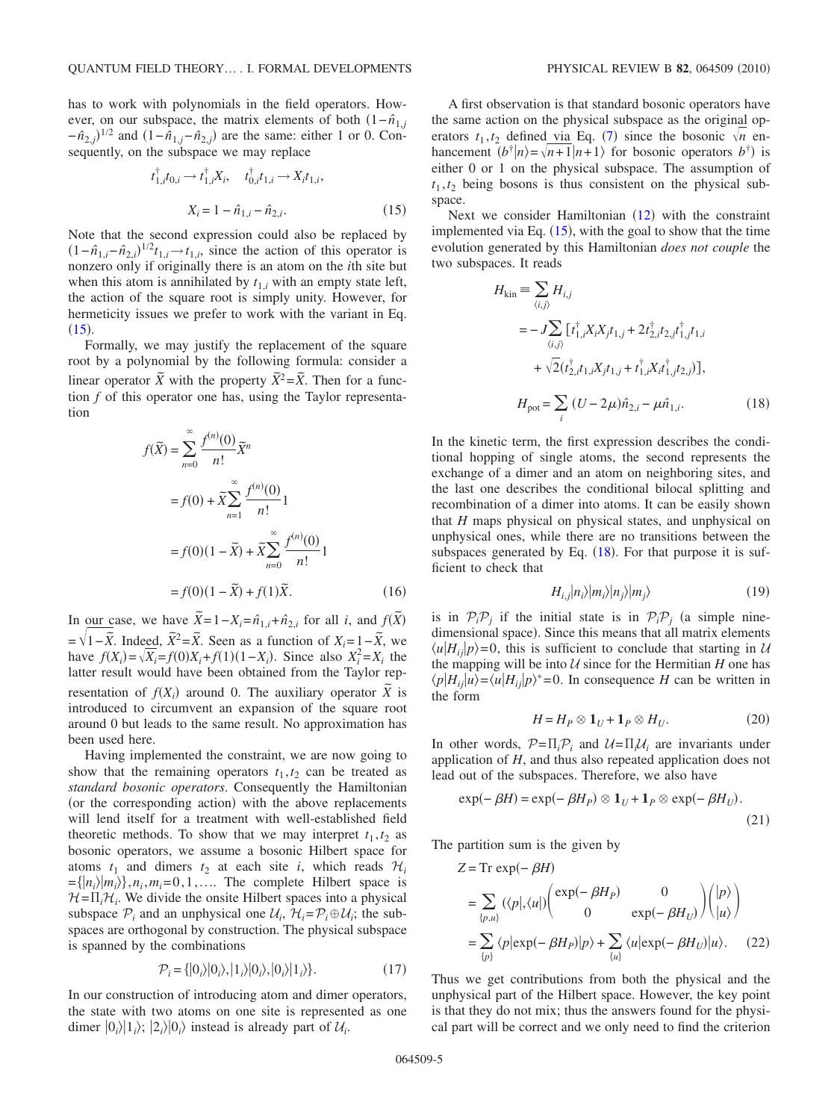has to work with polynomials in the field operators. However, on our subspace, the matrix elements of both  $(1-\hat{n}_1)$  $-(\hat{n}_{2,j})^{1/2}$  and  $(1-\hat{n}_{1,j}-\hat{n}_{2,j})$  are the same: either 1 or 0. Consequently, on the subspace we may replace

$$
t_{1,i}^{\dagger}t_{0,i} \to t_{1,i}^{\dagger}X_i, \quad t_{0,i}^{\dagger}t_{1,i} \to X_i t_{1,i},
$$

$$
X_i = 1 - \hat{n}_{1,i} - \hat{n}_{2,i}.
$$
 (15)

<span id="page-4-0"></span>Note that the second expression could also be replaced by  $(1-\hat{n}_{1,i}-\hat{n}_{2,i})^{1/2}t_{1,i}\rightarrow t_{1,i}$ , since the action of this operator is nonzero only if originally there is an atom on the *i*th site but when this atom is annihilated by  $t_{1,i}$  with an empty state left, the action of the square root is simply unity. However, for hermeticity issues we prefer to work with the variant in Eq.  $(15).$  $(15).$  $(15).$ 

Formally, we may justify the replacement of the square root by a polynomial by the following formula: consider a linear operator  $\tilde{X}$  with the property  $\tilde{X}^2 = \tilde{X}$ . Then for a function *f* of this operator one has, using the Taylor representation

$$
f(\tilde{X}) = \sum_{n=0}^{\infty} \frac{f^{(n)}(0)}{n!} \tilde{X}^n
$$
  
=  $f(0) + \tilde{X} \sum_{n=1}^{\infty} \frac{f^{(n)}(0)}{n!} 1$   
=  $f(0)(1 - \tilde{X}) + \tilde{X} \sum_{n=0}^{\infty} \frac{f^{(n)}(0)}{n!} 1$   
=  $f(0)(1 - \tilde{X}) + f(1)\tilde{X}$ . (16)

In <u>our c</u>ase, we have  $\widetilde{X} = 1 - X_i = \hat{n}_{1,i} + \hat{n}_{2,i}$  for all *i*, and  $f(\widetilde{X})$  $\overline{X} = \sqrt{1 - \tilde{X}}$ . Indeed,  $\tilde{X}^2 = \tilde{X}$ . Seen as a function of  $X_i = 1 - \tilde{X}$ , we have  $f(X_i) = \sqrt{X_i} = f(0)X_i + f(1)(1 - X_i)$ . Since also  $X_i^2 = X_i$  the latter result would have been obtained from the Taylor representation of  $f(X_i)$  around 0. The auxiliary operator  $\tilde{X}$  is introduced to circumvent an expansion of the square root around 0 but leads to the same result. No approximation has been used here.

Having implemented the constraint, we are now going to show that the remaining operators  $t_1, t_2$  can be treated as *standard bosonic operators*. Consequently the Hamiltonian (or the corresponding action) with the above replacements will lend itself for a treatment with well-established field theoretic methods. To show that we may interpret  $t_1, t_2$  as bosonic operators, we assume a bosonic Hilbert space for atoms  $t_1$  and dimers  $t_2$  at each site *i*, which reads  $\mathcal{H}_i$  $=\{|n_i\rangle|m_i\rangle\}, n_i, m_i=0, 1, \ldots$  The complete Hilbert space is  $\mathcal{H} = \Pi_i \mathcal{H}_i$ . We divide the onsite Hilbert spaces into a physical subspace  $\mathcal{P}_i$  and an unphysical one  $\mathcal{U}_i$ ,  $\mathcal{H}_i = \mathcal{P}_i \oplus \mathcal{U}_i$ ; the subspaces are orthogonal by construction. The physical subspace is spanned by the combinations

$$
\mathcal{P}_i = \{ |0_i\rangle |0_i\rangle, |1_i\rangle |0_i\rangle, |0_i\rangle |1_i\rangle \}.
$$
 (17)

In our construction of introducing atom and dimer operators, the state with two atoms on one site is represented as one dimer  $|0_i\rangle|1_i\rangle$ ;  $|2_i\rangle|0_i\rangle$  instead is already part of  $U_i$ .

A first observation is that standard bosonic operators have the same action on the physical subspace as the original operators  $t_1, t_2$  defined via Eq. ([7](#page-3-1)) since the bosonic  $\sqrt{n}$  enhancement  $(b^{\dagger}|n\rangle = \sqrt{n+1}|n+1\rangle$  for bosonic operators  $b^{\dagger}$ ) is either 0 or 1 on the physical subspace. The assumption of  $t_1, t_2$  being bosons is thus consistent on the physical subspace.

Next we consider Hamiltonian  $(12)$  $(12)$  $(12)$  with the constraint implemented via Eq.  $(15)$  $(15)$  $(15)$ , with the goal to show that the time evolution generated by this Hamiltonian *does not couple* the two subspaces. It reads

<span id="page-4-1"></span>
$$
H_{\text{kin}} = \sum_{\langle i,j \rangle} H_{i,j}
$$
  
=  $-J \sum_{\langle i,j \rangle} [t_{1,i}^{\dagger} X_i X_j t_{1,j} + 2t_{2,i}^{\dagger} t_{2,j} t_{1,j}^{\dagger} t_{1,i} + \sqrt{2} (t_{2,i}^{\dagger} t_{1,i} X_j t_{1,j} + t_{1,i}^{\dagger} X_i t_{1,j}^{\dagger} t_{2,j})],$   

$$
H_{\text{pot}} = \sum_{i} (U - 2\mu) \hat{n}_{2,i} - \mu \hat{n}_{1,i}. \qquad (18)
$$

In the kinetic term, the first expression describes the conditional hopping of single atoms, the second represents the exchange of a dimer and an atom on neighboring sites, and the last one describes the conditional bilocal splitting and recombination of a dimer into atoms. It can be easily shown that *H* maps physical on physical states, and unphysical on unphysical ones, while there are no transitions between the subspaces generated by Eq.  $(18)$  $(18)$  $(18)$ . For that purpose it is sufficient to check that

$$
H_{i,j}|n_i\rangle|m_i\rangle|n_j\rangle|m_j\rangle \tag{19}
$$

is in  $\mathcal{P}_i \mathcal{P}_j$  if the initial state is in  $\mathcal{P}_i \mathcal{P}_j$  (a simple ninedimensional space). Since this means that all matrix elements  $\langle u|H_{ii}|p\rangle=0$ , this is sufficient to conclude that starting in U the mapping will be into  $U$  since for the Hermitian  $H$  one has  $\langle p|H_{ij}|u\rangle = \langle u|H_{ij}|p\rangle^* = 0$ . In consequence *H* can be written in the form

$$
H = H_P \otimes \mathbf{1}_U + \mathbf{1}_P \otimes H_U. \tag{20}
$$

In other words,  $P = \prod_i P_i$  and  $U = \prod_i U_i$  are invariants under application of *H*, and thus also repeated application does not lead out of the subspaces. Therefore, we also have

$$
\exp(-\beta H) = \exp(-\beta H_P) \otimes \mathbf{1}_U + \mathbf{1}_P \otimes \exp(-\beta H_U). \tag{21}
$$

The partition sum is the given by

$$
Z = \text{Tr} \exp(-\beta H)
$$
  
=  $\sum_{\{p,u\}} (\langle p|\langle u| \rangle) \begin{pmatrix} \exp(-\beta H_P) & 0 \\ 0 & \exp(-\beta H_U) \end{pmatrix} \begin{pmatrix} |p\rangle \\ |u\rangle \end{pmatrix}$   
=  $\sum_{\{p\}} \langle p|\exp(-\beta H_P)|p\rangle + \sum_{\{u\}} \langle u|\exp(-\beta H_U)|u\rangle.$  (22)

Thus we get contributions from both the physical and the unphysical part of the Hilbert space. However, the key point is that they do not mix; thus the answers found for the physical part will be correct and we only need to find the criterion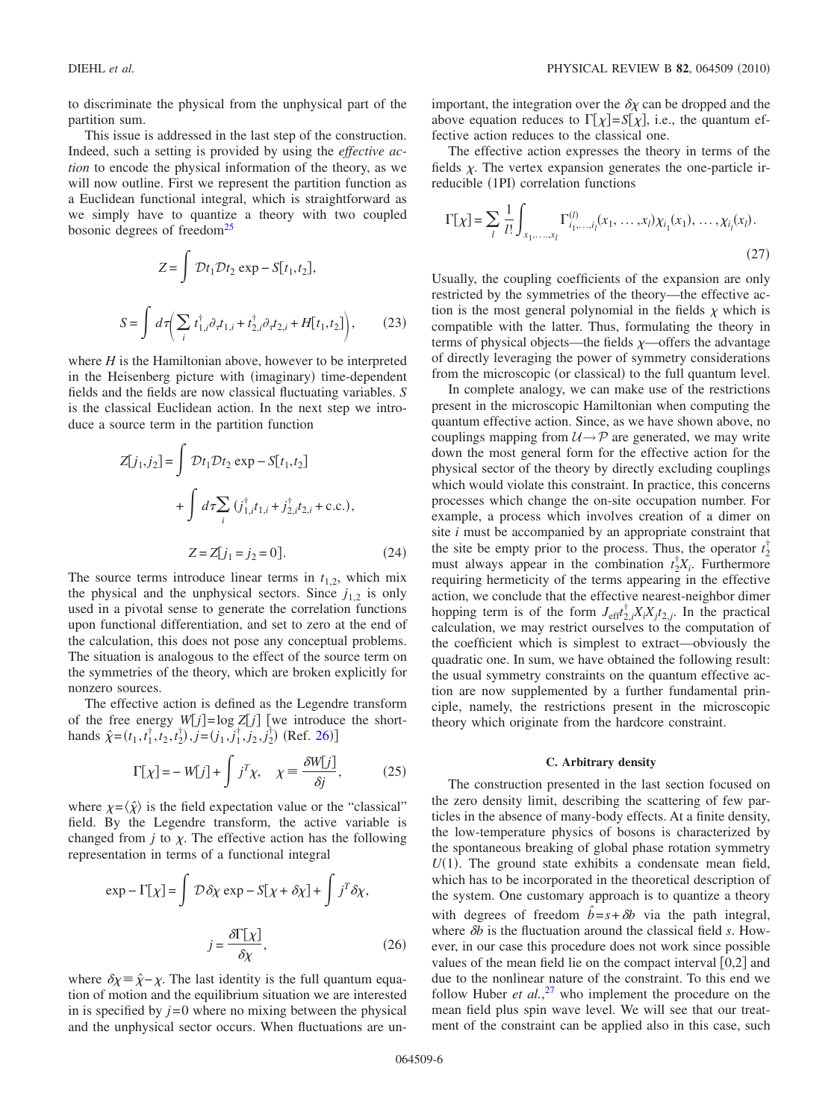to discriminate the physical from the unphysical part of the partition sum.

This issue is addressed in the last step of the construction. Indeed, such a setting is provided by using the *effective action* to encode the physical information of the theory, as we will now outline. First we represent the partition function as a Euclidean functional integral, which is straightforward as we simply have to quantize a theory with two coupled bosonic degrees of freedom $25$ 

<span id="page-5-1"></span>
$$
Z = \int \mathcal{D}t_1 \mathcal{D}t_2 \exp - S[t_1, t_2],
$$
  

$$
S = \int d\tau \left( \sum_i t_{1,i}^\dagger \partial_\tau t_{1,i} + t_{2,i}^\dagger \partial_\tau t_{2,i} + H[t_1, t_2] \right), \qquad (23)
$$

where *H* is the Hamiltonian above, however to be interpreted in the Heisenberg picture with (imaginary) time-dependent fields and the fields are now classical fluctuating variables. *S* is the classical Euclidean action. In the next step we introduce a source term in the partition function

$$
Z[j_1, j_2] = \int \mathcal{D}t_1 \mathcal{D}t_2 \exp - S[t_1, t_2]
$$
  
+ 
$$
\int d\tau \sum_i (j_{1,i}^{\dagger} t_{1,i} + j_{2,i}^{\dagger} t_{2,i} + \text{c.c.}),
$$
  

$$
Z = Z[j_1 = j_2 = 0].
$$
 (24)

The source terms introduce linear terms in  $t_{1,2}$ , which mix the physical and the unphysical sectors. Since  $j_{1,2}$  is only used in a pivotal sense to generate the correlation functions upon functional differentiation, and set to zero at the end of the calculation, this does not pose any conceptual problems. The situation is analogous to the effect of the source term on the symmetries of the theory, which are broken explicitly for nonzero sources.

The effective action is defined as the Legendre transform of the free energy  $W[j] = \log Z[j]$  we introduce the shorthands  $\hat{\chi} = (t_1, t_1^{\dagger}, t_2, t_2^{\dagger}), j = (j_1, j_1^{\dagger}, j_2, j_2^{\dagger}) \text{ (Ref. 26)}$  $\hat{\chi} = (t_1, t_1^{\dagger}, t_2, t_2^{\dagger}), j = (j_1, j_1^{\dagger}, j_2, j_2^{\dagger}) \text{ (Ref. 26)}$  $\hat{\chi} = (t_1, t_1^{\dagger}, t_2, t_2^{\dagger}), j = (j_1, j_1^{\dagger}, j_2, j_2^{\dagger}) \text{ (Ref. 26)}$ 

$$
\Gamma[\chi] = -W[j] + \int j^T \chi, \quad \chi \equiv \frac{\delta W[j]}{\delta j}, \quad (25)
$$

where  $\chi = \langle \hat{\chi} \rangle$  is the field expectation value or the "classical" field. By the Legendre transform, the active variable is changed from  $j$  to  $\chi$ . The effective action has the following representation in terms of a functional integral

$$
\exp - \Gamma[\chi] = \int \mathcal{D}\,\delta\chi \exp - S[\chi + \delta\chi] + \int j^T \delta\chi,
$$

$$
j = \frac{\delta\Gamma[\chi]}{\delta\chi}, \tag{26}
$$

where  $\delta \chi = \hat{\chi} - \chi$ . The last identity is the full quantum equation of motion and the equilibrium situation we are interested in is specified by  $j=0$  where no mixing between the physical and the unphysical sector occurs. When fluctuations are unimportant, the integration over the  $\delta \chi$  can be dropped and the above equation reduces to  $\Gamma[\chi] = S[\chi]$ , i.e., the quantum effective action reduces to the classical one.

The effective action expresses the theory in terms of the fields  $\chi$ . The vertex expansion generates the one-particle irreducible (1PI) correlation functions

$$
\Gamma[\chi] = \sum_{l} \frac{1}{l!} \int_{x_1, \dots, x_l} \Gamma_{i_1, \dots, i_l}^{(l)}(x_1, \dots, x_l) \chi_{i_1}(x_1), \dots, \chi_{i_l}(x_l). \tag{27}
$$

Usually, the coupling coefficients of the expansion are only restricted by the symmetries of the theory—the effective action is the most general polynomial in the fields  $\chi$  which is compatible with the latter. Thus, formulating the theory in terms of physical objects—the fields  $\chi$ —offers the advantage of directly leveraging the power of symmetry considerations from the microscopic (or classical) to the full quantum level.

In complete analogy, we can make use of the restrictions present in the microscopic Hamiltonian when computing the quantum effective action. Since, as we have shown above, no couplings mapping from  $U \rightarrow \mathcal{P}$  are generated, we may write down the most general form for the effective action for the physical sector of the theory by directly excluding couplings which would violate this constraint. In practice, this concerns processes which change the on-site occupation number. For example, a process which involves creation of a dimer on site *i* must be accompanied by an appropriate constraint that the site be empty prior to the process. Thus, the operator  $t_2^{\dagger}$ must always appear in the combination  $t_2^{\dagger} X_i$ . Furthermore requiring hermeticity of the terms appearing in the effective action, we conclude that the effective nearest-neighbor dimer hopping term is of the form  $J_{\text{eff}}t_{2,i}^{\dagger}X_iX_jt_{2,j}$ . In the practical calculation, we may restrict ourselves to the computation of the coefficient which is simplest to extract—obviously the quadratic one. In sum, we have obtained the following result: the usual symmetry constraints on the quantum effective action are now supplemented by a further fundamental principle, namely, the restrictions present in the microscopic theory which originate from the hardcore constraint.

## **C. Arbitrary density**

<span id="page-5-0"></span>The construction presented in the last section focused on the zero density limit, describing the scattering of few particles in the absence of many-body effects. At a finite density, the low-temperature physics of bosons is characterized by the spontaneous breaking of global phase rotation symmetry  $U(1)$ . The ground state exhibits a condensate mean field, which has to be incorporated in the theoretical description of the system. One customary approach is to quantize a theory with degrees of freedom  $\hat{b} = s + \delta b$  via the path integral, where  $\delta b$  is the fluctuation around the classical field  $s$ . However, in our case this procedure does not work since possible values of the mean field lie on the compact interval  $[0,2]$  and due to the nonlinear nature of the constraint. To this end we follow Huber *et al.*,<sup>[27](#page-18-6)</sup> who implement the procedure on the mean field plus spin wave level. We will see that our treatment of the constraint can be applied also in this case, such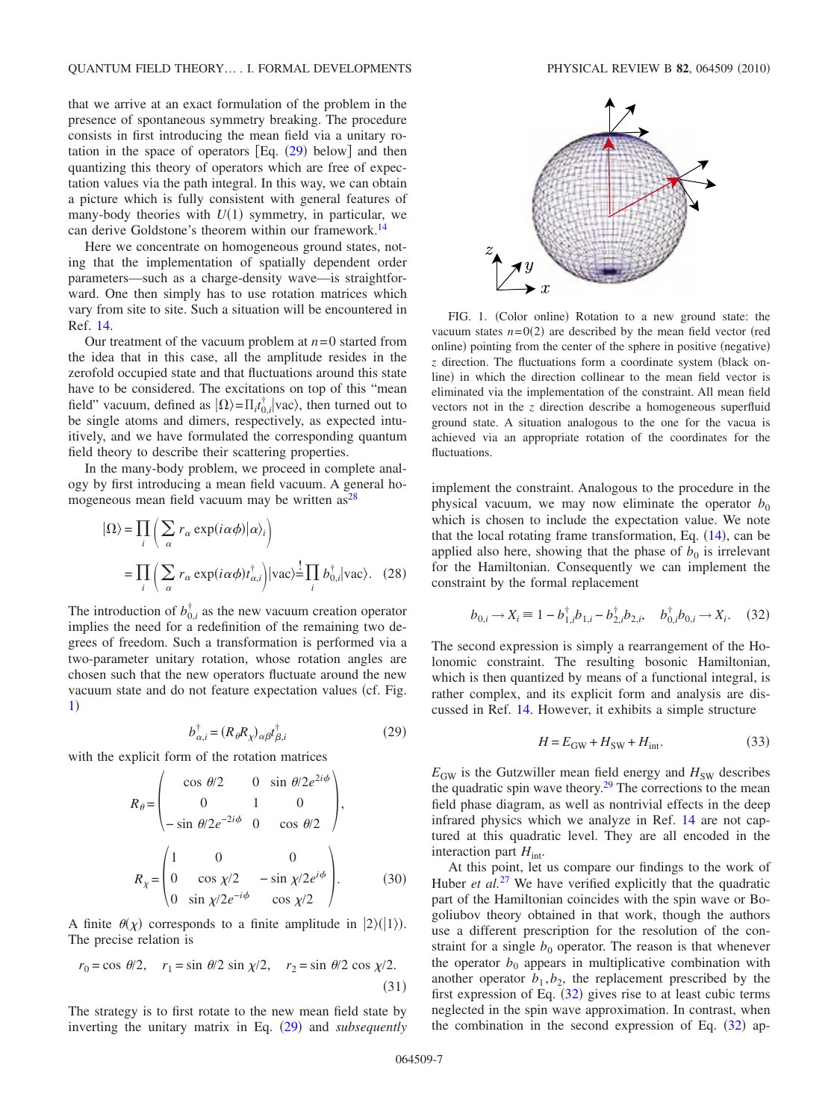that we arrive at an exact formulation of the problem in the presence of spontaneous symmetry breaking. The procedure consists in first introducing the mean field via a unitary rotation in the space of operators  $[Eq. (29)$  $[Eq. (29)$  $[Eq. (29)$  below] and then quantizing this theory of operators which are free of expectation values via the path integral. In this way, we can obtain a picture which is fully consistent with general features of many-body theories with  $U(1)$  symmetry, in particular, we can derive Goldstone's theorem within our framework.<sup>14</sup>

Here we concentrate on homogeneous ground states, noting that the implementation of spatially dependent order parameters—such as a charge-density wave—is straightforward. One then simply has to use rotation matrices which vary from site to site. Such a situation will be encountered in Ref. [14.](#page-17-12)

Our treatment of the vacuum problem at  $n=0$  started from the idea that in this case, all the amplitude resides in the zerofold occupied state and that fluctuations around this state have to be considered. The excitations on top of this "mean field" vacuum, defined as  $|\Omega\rangle = \prod_i t_{0,i}^{\dagger} |\text{vac}\rangle$ , then turned out to be single atoms and dimers, respectively, as expected intuitively, and we have formulated the corresponding quantum field theory to describe their scattering properties.

In the many-body problem, we proceed in complete analogy by first introducing a mean field vacuum. A general homogeneous mean field vacuum may be written  $as^{28}$ 

$$
|\Omega\rangle = \prod_{i} \left( \sum_{\alpha} r_{\alpha} \exp(i\alpha\phi) |\alpha\rangle_{i} \right)
$$
  
= 
$$
\prod_{i} \left( \sum_{\alpha} r_{\alpha} \exp(i\alpha\phi) t_{\alpha,i}^{\dagger} \right) |\text{vac}\rangle \stackrel{\perp}{=} \prod_{i} b_{0,i}^{\dagger} |\text{vac}\rangle.
$$
 (28)

The introduction of  $b_{0,i}^{\dagger}$  as the new vacuum creation operator implies the need for a redefinition of the remaining two degrees of freedom. Such a transformation is performed via a two-parameter unitary rotation, whose rotation angles are chosen such that the new operators fluctuate around the new vacuum state and do not feature expectation values (cf. Fig. [1](#page-6-1))

$$
b_{\alpha,i}^{\dagger} = (R_{\theta} R_{\chi})_{\alpha\beta} t_{\beta,i}^{\dagger}
$$
 (29)

<span id="page-6-0"></span>with the explicit form of the rotation matrices

$$
R_{\theta} = \begin{pmatrix} \cos \theta/2 & 0 & \sin \theta/2e^{2i\phi} \\ 0 & 1 & 0 \\ -\sin \theta/2e^{-2i\phi} & 0 & \cos \theta/2 \end{pmatrix},
$$

$$
R_{\chi} = \begin{pmatrix} 1 & 0 & 0 \\ 0 & \cos \chi/2 & -\sin \chi/2e^{i\phi} \\ 0 & \sin \chi/2e^{-i\phi} & \cos \chi/2 \end{pmatrix}.
$$
(30)

A finite  $\theta(\chi)$  corresponds to a finite amplitude in  $|2\rangle(|1\rangle)$ . The precise relation is

$$
r_0 = \cos \theta/2, \quad r_1 = \sin \theta/2 \sin \chi/2, \quad r_2 = \sin \theta/2 \cos \chi/2.
$$
\n(31)

The strategy is to first rotate to the new mean field state by inverting the unitary matrix in Eq. ([29](#page-6-0)) and *subsequently* 

<span id="page-6-1"></span>

FIG. 1. (Color online) Rotation to a new ground state: the vacuum states  $n=0(2)$  are described by the mean field vector (red online) pointing from the center of the sphere in positive (negative) *z* direction. The fluctuations form a coordinate system (black online) in which the direction collinear to the mean field vector is eliminated via the implementation of the constraint. All mean field vectors not in the *z* direction describe a homogeneous superfluid ground state. A situation analogous to the one for the vacua is achieved via an appropriate rotation of the coordinates for the fluctuations.

implement the constraint. Analogous to the procedure in the physical vacuum, we may now eliminate the operator  $b_0$ which is chosen to include the expectation value. We note that the local rotating frame transformation, Eq.  $(14)$  $(14)$  $(14)$ , can be applied also here, showing that the phase of  $b<sub>0</sub>$  is irrelevant for the Hamiltonian. Consequently we can implement the constraint by the formal replacement

$$
b_{0,i} \to X_i \equiv 1 - b_{1,i}^{\dagger} b_{1,i} - b_{2,i}^{\dagger} b_{2,i}, \quad b_{0,i}^{\dagger} b_{0,i} \to X_i. \tag{32}
$$

<span id="page-6-2"></span>The second expression is simply a rearrangement of the Holonomic constraint. The resulting bosonic Hamiltonian, which is then quantized by means of a functional integral, is rather complex, and its explicit form and analysis are discussed in Ref. [14.](#page-17-12) However, it exhibits a simple structure

$$
H = E_{\rm GW} + H_{\rm SW} + H_{\rm int}.\tag{33}
$$

 $E_{\text{GW}}$  is the Gutzwiller mean field energy and  $H_{\text{SW}}$  describes the quadratic spin wave theory. $2<sup>9</sup>$  The corrections to the mean field phase diagram, as well as nontrivial effects in the deep infrared physics which we analyze in Ref. [14](#page-17-12) are not captured at this quadratic level. They are all encoded in the interaction part *H*int.

At this point, let us compare our findings to the work of Huber *et al.*<sup>[27](#page-18-6)</sup> We have verified explicitly that the quadratic part of the Hamiltonian coincides with the spin wave or Bogoliubov theory obtained in that work, though the authors use a different prescription for the resolution of the constraint for a single  $b_0$  operator. The reason is that whenever the operator  $b_0$  appears in multiplicative combination with another operator  $b_1$ ,  $b_2$ , the replacement prescribed by the first expression of Eq.  $(32)$  $(32)$  $(32)$  gives rise to at least cubic terms neglected in the spin wave approximation. In contrast, when the combination in the second expression of Eq.  $(32)$  $(32)$  $(32)$  ap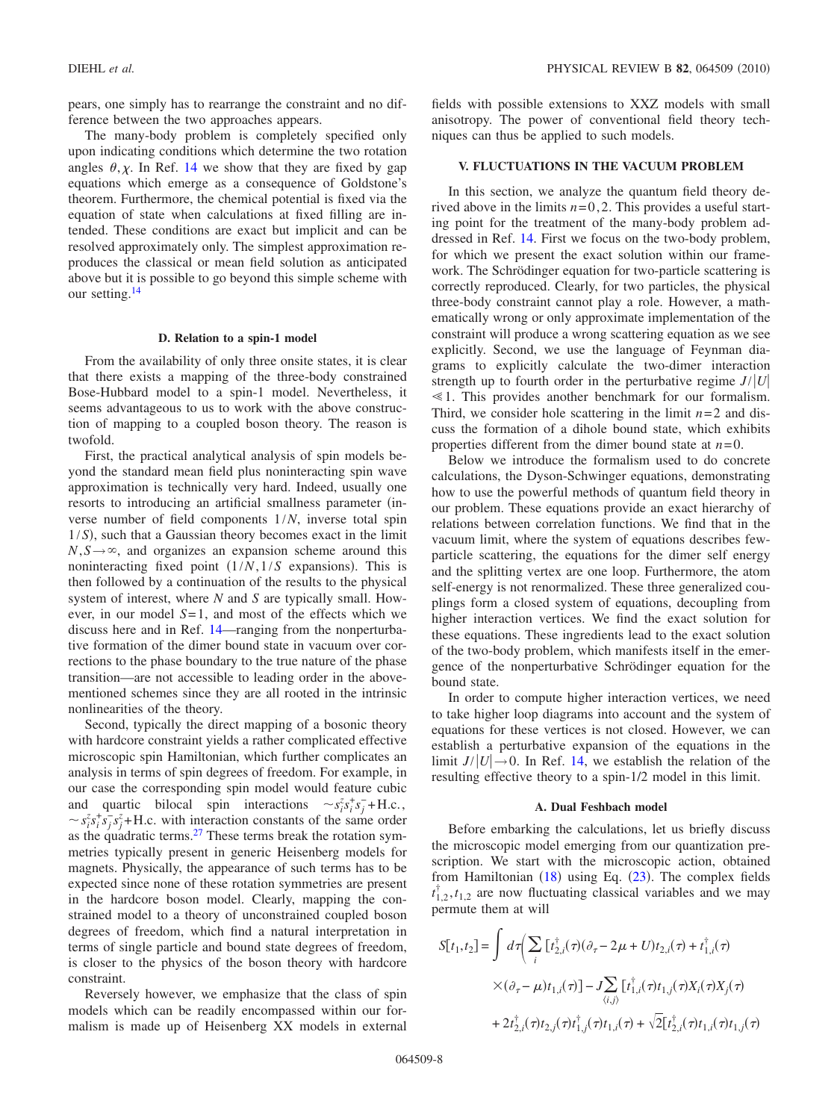pears, one simply has to rearrange the constraint and no difference between the two approaches appears.

The many-body problem is completely specified only upon indicating conditions which determine the two rotation angles  $\theta$ ,  $\chi$ . In Ref. [14](#page-17-12) we show that they are fixed by gap equations which emerge as a consequence of Goldstone's theorem. Furthermore, the chemical potential is fixed via the equation of state when calculations at fixed filling are intended. These conditions are exact but implicit and can be resolved approximately only. The simplest approximation reproduces the classical or mean field solution as anticipated above but it is possible to go beyond this simple scheme with our setting.<sup>14</sup>

## **D. Relation to a spin-1 model**

From the availability of only three onsite states, it is clear that there exists a mapping of the three-body constrained Bose-Hubbard model to a spin-1 model. Nevertheless, it seems advantageous to us to work with the above construction of mapping to a coupled boson theory. The reason is twofold.

First, the practical analytical analysis of spin models beyond the standard mean field plus noninteracting spin wave approximation is technically very hard. Indeed, usually one resorts to introducing an artificial smallness parameter (inverse number of field components 1/*N*, inverse total spin  $1/S$ ), such that a Gaussian theory becomes exact in the limit  $N, S \rightarrow \infty$ , and organizes an expansion scheme around this noninteracting fixed point  $(1/N, 1/S)$  expansions). This is then followed by a continuation of the results to the physical system of interest, where *N* and *S* are typically small. However, in our model  $S = 1$ , and most of the effects which we discuss here and in Ref. [14—](#page-17-12)ranging from the nonperturbative formation of the dimer bound state in vacuum over corrections to the phase boundary to the true nature of the phase transition—are not accessible to leading order in the abovementioned schemes since they are all rooted in the intrinsic nonlinearities of the theory.

Second, typically the direct mapping of a bosonic theory with hardcore constraint yields a rather complicated effective microscopic spin Hamiltonian, which further complicates an analysis in terms of spin degrees of freedom. For example, in our case the corresponding spin model would feature cubic and quartic bilocal spin interactions  $\sim s_i^z s_i^+ s_j^- + H.c.$  $\sim s_i^z s_i^+ s_j^- s_j^z$ +H.c. with interaction constants of the same order as the quadratic terms[.27](#page-18-6) These terms break the rotation symmetries typically present in generic Heisenberg models for magnets. Physically, the appearance of such terms has to be expected since none of these rotation symmetries are present in the hardcore boson model. Clearly, mapping the constrained model to a theory of unconstrained coupled boson degrees of freedom, which find a natural interpretation in terms of single particle and bound state degrees of freedom, is closer to the physics of the boson theory with hardcore constraint.

Reversely however, we emphasize that the class of spin models which can be readily encompassed within our formalism is made up of Heisenberg XX models in external fields with possible extensions to XXZ models with small anisotropy. The power of conventional field theory techniques can thus be applied to such models.

### <span id="page-7-0"></span>**V. FLUCTUATIONS IN THE VACUUM PROBLEM**

In this section, we analyze the quantum field theory derived above in the limits *n*=0,2. This provides a useful starting point for the treatment of the many-body problem addressed in Ref. [14.](#page-17-12) First we focus on the two-body problem, for which we present the exact solution within our framework. The Schrödinger equation for two-particle scattering is correctly reproduced. Clearly, for two particles, the physical three-body constraint cannot play a role. However, a mathematically wrong or only approximate implementation of the constraint will produce a wrong scattering equation as we see explicitly. Second, we use the language of Feynman diagrams to explicitly calculate the two-dimer interaction strength up to fourth order in the perturbative regime  $J/|U|$  $\leq 1$ . This provides another benchmark for our formalism. Third, we consider hole scattering in the limit  $n=2$  and discuss the formation of a dihole bound state, which exhibits properties different from the dimer bound state at *n*=0.

Below we introduce the formalism used to do concrete calculations, the Dyson-Schwinger equations, demonstrating how to use the powerful methods of quantum field theory in our problem. These equations provide an exact hierarchy of relations between correlation functions. We find that in the vacuum limit, where the system of equations describes fewparticle scattering, the equations for the dimer self energy and the splitting vertex are one loop. Furthermore, the atom self-energy is not renormalized. These three generalized couplings form a closed system of equations, decoupling from higher interaction vertices. We find the exact solution for these equations. These ingredients lead to the exact solution of the two-body problem, which manifests itself in the emergence of the nonperturbative Schrödinger equation for the bound state.

In order to compute higher interaction vertices, we need to take higher loop diagrams into account and the system of equations for these vertices is not closed. However, we can establish a perturbative expansion of the equations in the limit  $J/[U] \rightarrow 0$ . In Ref. [14,](#page-17-12) we establish the relation of the resulting effective theory to a spin-1/2 model in this limit.

### **A. Dual Feshbach model**

Before embarking the calculations, let us briefly discuss the microscopic model emerging from our quantization prescription. We start with the microscopic action, obtained from Hamiltonian  $(18)$  $(18)$  $(18)$  using Eq.  $(23)$  $(23)$  $(23)$ . The complex fields  $t_{1,2}^{\dagger}, t_{1,2}$  are now fluctuating classical variables and we may permute them at will

$$
S[t_1, t_2] = \int d\tau \Big( \sum_i \left[ t_{2,i}^{\dagger}(\tau) (\partial_{\tau} - 2\mu + U) t_{2,i}(\tau) + t_{1,i}^{\dagger}(\tau) \right. \\ \times (\partial_{\tau} - \mu) t_{1,i}(\tau) \Big) - J \sum_{\langle i,j \rangle} \left[ t_{1,i}^{\dagger}(\tau) t_{1,j}(\tau) X_i(\tau) X_j(\tau) \right. \\ \left. + 2t_{2,i}^{\dagger}(\tau) t_{2,j}(\tau) t_{1,j}^{\dagger}(\tau) t_{1,i}(\tau) + \sqrt{2} \left[ t_{2,i}^{\dagger}(\tau) t_{1,i}(\tau) t_{1,j}(\tau) \right. \Big) \right]
$$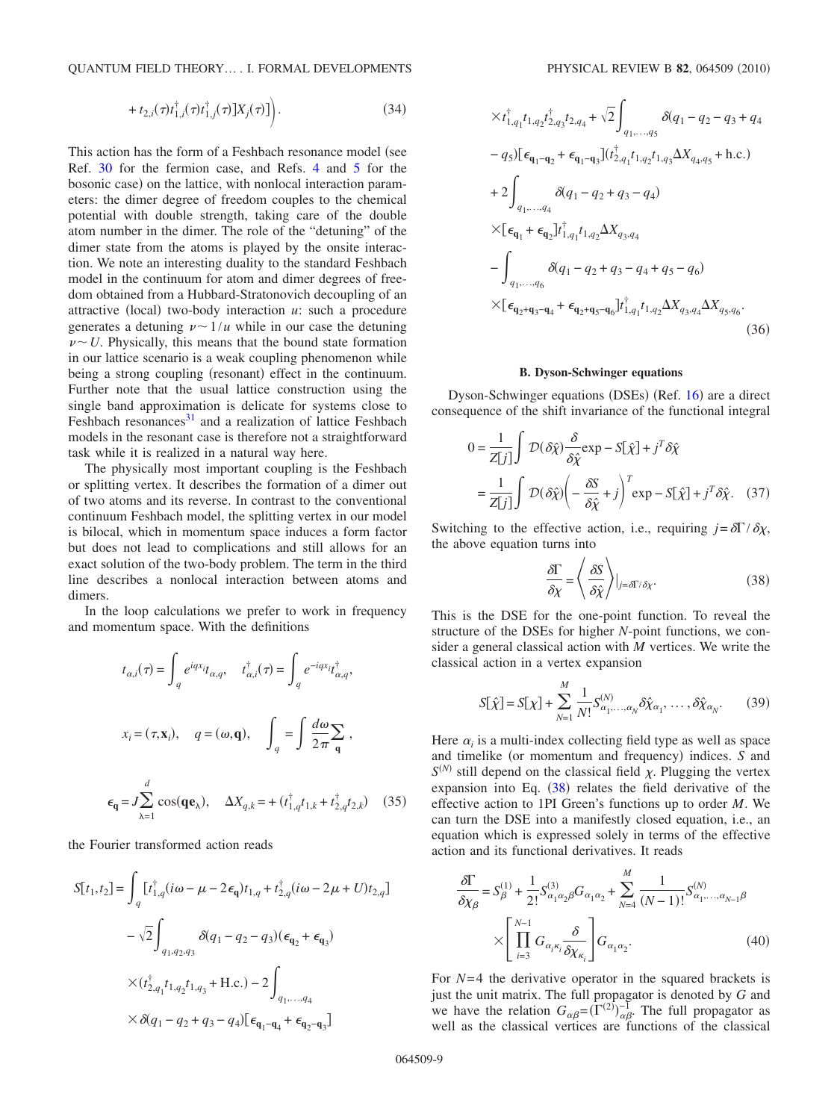QUANTUM FIELD THEORY... . I. FORMAL DEVELOPMENTS PHYSICAL REVIEW B 82, 064509 (2010)

$$
+ t_{2,i}(\tau) t_{1,i}^{\dagger}(\tau) t_{1,j}^{\dagger}(\tau) \big] X_j(\tau) \big] \bigg). \tag{34}
$$

This action has the form of a Feshbach resonance model (see Ref. [30](#page-18-9) for the fermion case, and Refs. [4](#page-17-3) and [5](#page-17-4) for the bosonic case) on the lattice, with nonlocal interaction parameters: the dimer degree of freedom couples to the chemical potential with double strength, taking care of the double atom number in the dimer. The role of the "detuning" of the dimer state from the atoms is played by the onsite interaction. We note an interesting duality to the standard Feshbach model in the continuum for atom and dimer degrees of freedom obtained from a Hubbard-Stratonovich decoupling of an attractive (local) two-body interaction  $u$ : such a procedure generates a detuning  $\nu \sim 1/u$  while in our case the detuning  $\nu \sim U$ . Physically, this means that the bound state formation in our lattice scenario is a weak coupling phenomenon while being a strong coupling (resonant) effect in the continuum. Further note that the usual lattice construction using the single band approximation is delicate for systems close to Feshbach resonances $31$  and a realization of lattice Feshbach models in the resonant case is therefore not a straightforward task while it is realized in a natural way here.

The physically most important coupling is the Feshbach or splitting vertex. It describes the formation of a dimer out of two atoms and its reverse. In contrast to the conventional continuum Feshbach model, the splitting vertex in our model is bilocal, which in momentum space induces a form factor but does not lead to complications and still allows for an exact solution of the two-body problem. The term in the third line describes a nonlocal interaction between atoms and dimers.

In the loop calculations we prefer to work in frequency and momentum space. With the definitions

$$
t_{\alpha,i}(\tau) = \int_{q} e^{iqx_{i}} t_{\alpha,q}, \quad t_{\alpha,i}^{\dagger}(\tau) = \int_{q} e^{-iqx_{i}} t_{\alpha,q}^{\dagger},
$$

$$
x_{i} = (\tau, \mathbf{x}_{i}), \quad q = (\omega, \mathbf{q}), \quad \int_{q} = \int \frac{d\omega}{2\pi} \sum_{\mathbf{q}} ,
$$

$$
\epsilon_{\mathbf{q}} = J \sum_{\lambda=1}^{d} \cos(\mathbf{q} \mathbf{e}_{\lambda}), \quad \Delta X_{q,k} = + (t_{1,q}^{\dagger} t_{1,k} + t_{2,q}^{\dagger} t_{2,k}) \quad (35)
$$

the Fourier transformed action reads

<span id="page-8-2"></span>
$$
S[t_1, t_2] = \int_q [t_{1,q}^{\dagger} (i\omega - \mu - 2\epsilon_{\mathbf{q}}) t_{1,q} + t_{2,q}^{\dagger} (i\omega - 2\mu + U) t_{2,q}]
$$
  

$$
- \sqrt{2} \int_{q_1, q_2, q_3} \delta(q_1 - q_2 - q_3) (\epsilon_{\mathbf{q}_2} + \epsilon_{\mathbf{q}_3})
$$
  

$$
\times (t_{2,q_1}^{\dagger} t_{1,q_2} t_{1,q_3} + \text{H.c.}) - 2 \int_{q_1, \dots, q_4}
$$
  

$$
\times \delta(q_1 - q_2 + q_3 - q_4) [\epsilon_{\mathbf{q}_1 - \mathbf{q}_4} + \epsilon_{\mathbf{q}_2 - \mathbf{q}_3}]
$$

$$
\times t_{1,q_1}^{\dagger}t_{1,q_2}t_{2,q_3}^{\dagger}t_{2,q_4} + \sqrt{2}\int_{q_1,\ldots,q_5} \delta(q_1 - q_2 - q_3 + q_4)
$$
  
\n
$$
- q_5[\epsilon_{q_1-q_2} + \epsilon_{q_1-q_3}](t_{2,q_1}^{\dagger}t_{1,q_2}t_{1,q_3}\Delta X_{q_4,q_5} + \text{h.c.})
$$
  
\n
$$
+ 2\int_{q_1,\ldots,q_4} \delta(q_1 - q_2 + q_3 - q_4)
$$
  
\n
$$
\times [\epsilon_{q_1} + \epsilon_{q_2} ]t_{1,q_1}^{\dagger}t_{1,q_2}\Delta X_{q_3,q_4}
$$
  
\n
$$
- \int_{q_1,\ldots,q_6} \delta(q_1 - q_2 + q_3 - q_4 + q_5 - q_6)
$$
  
\n
$$
\times [\epsilon_{q_2+q_3-q_4} + \epsilon_{q_2+q_5-q_6}]t_{1,q_1}^{\dagger}t_{1,q_2}\Delta X_{q_3,q_4}\Delta X_{q_5,q_6}.
$$
  
\n(36)

#### **B. Dyson-Schwinger equations**

Dyson-Schwinger equations (DSEs) (Ref. [16](#page-17-14)) are a direct consequence of the shift invariance of the functional integral

$$
0 = \frac{1}{Z[j]} \int \mathcal{D}(\delta \hat{\chi}) \frac{\delta}{\delta \hat{\chi}} \exp - S[\hat{\chi}] + j^T \delta \hat{\chi}
$$
  
= 
$$
\frac{1}{Z[j]} \int \mathcal{D}(\delta \hat{\chi}) \left( -\frac{\delta S}{\delta \hat{\chi}} + j \right)^T \exp - S[\hat{\chi}] + j^T \delta \hat{\chi}.
$$
 (37)

<span id="page-8-0"></span>Switching to the effective action, i.e., requiring  $j = \delta \Gamma / \delta \chi$ , the above equation turns into

$$
\frac{\delta \Gamma}{\delta \chi} = \left\langle \frac{\delta S}{\delta \hat{\chi}} \right\rangle|_{j = \delta \Gamma / \delta \chi}.
$$
 (38)

This is the DSE for the one-point function. To reveal the structure of the DSEs for higher *N*-point functions, we consider a general classical action with *M* vertices. We write the classical action in a vertex expansion

$$
S[\hat{\chi}] = S[\chi] + \sum_{N=1}^{M} \frac{1}{N!} S_{\alpha_1, \dots, \alpha_N}^{(N)} \delta \hat{\chi}_{\alpha_1}, \dots, \delta \hat{\chi}_{\alpha_N}.
$$
 (39)

Here  $\alpha_i$  is a multi-index collecting field type as well as space and timelike (or momentum and frequency) indices. *S* and  $S^{(N)}$  still depend on the classical field  $\chi$ . Plugging the vertex expansion into Eq.  $(38)$  $(38)$  $(38)$  relates the field derivative of the effective action to 1PI Green's functions up to order *M*. We can turn the DSE into a manifestly closed equation, i.e., an equation which is expressed solely in terms of the effective action and its functional derivatives. It reads

<span id="page-8-1"></span>
$$
\frac{\delta \Gamma}{\delta \chi_{\beta}} = S_{\beta}^{(1)} + \frac{1}{2!} S_{\alpha_1 \alpha_2 \beta}^{(3)} G_{\alpha_1 \alpha_2} + \sum_{N=4}^{M} \frac{1}{(N-1)!} S_{\alpha_1, \dots, \alpha_{N-1} \beta}^{(N)}
$$

$$
\times \left[ \prod_{i=3}^{N-1} G_{\alpha_i \kappa_i} \frac{\delta}{\delta \chi_{\kappa_i}} \right] G_{\alpha_1 \alpha_2}.
$$
(40)

For  $N=4$  the derivative operator in the squared brackets is just the unit matrix. The full propagator is denoted by *G* and we have the relation  $G_{\alpha\beta} = (\Gamma^{(2)})_{\alpha\beta}^{-1}$ . The full propagator as well as the classical vertices are functions of the classical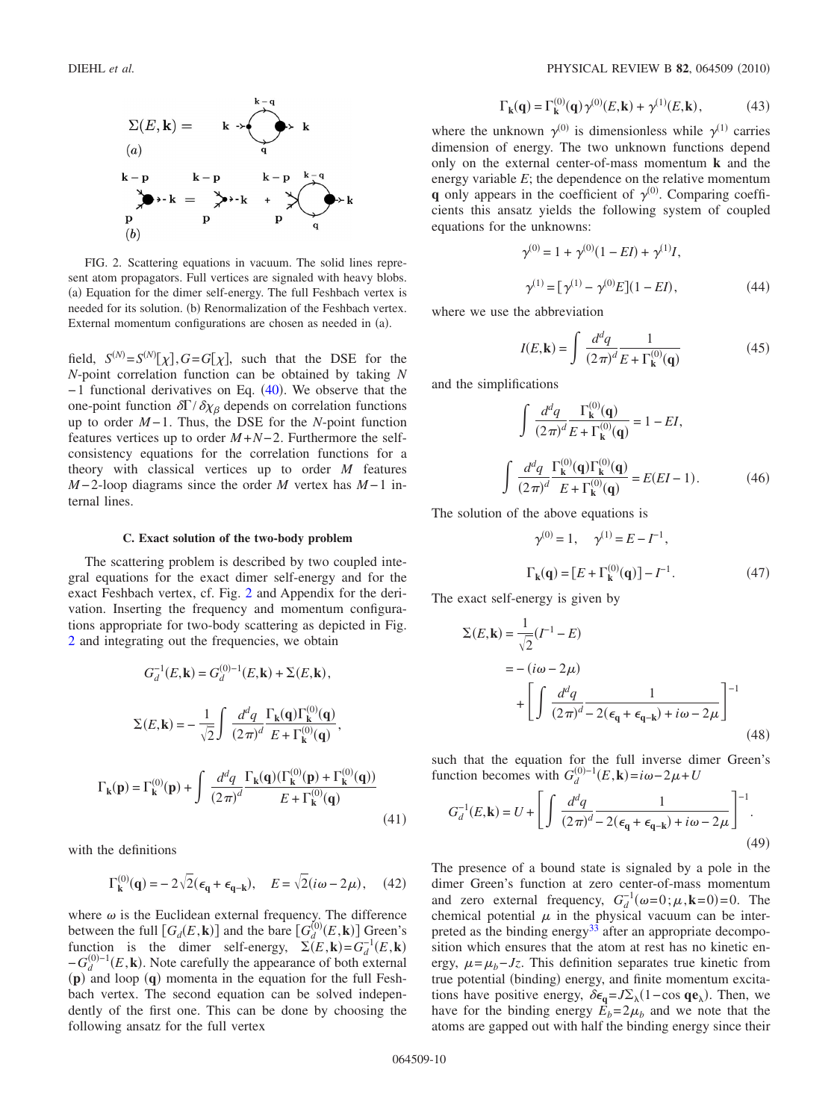<span id="page-9-0"></span>

FIG. 2. Scattering equations in vacuum. The solid lines represent atom propagators. Full vertices are signaled with heavy blobs. (a) Equation for the dimer self-energy. The full Feshbach vertex is needed for its solution. (b) Renormalization of the Feshbach vertex. External momentum configurations are chosen as needed in (a).

field,  $S^{(N)} = S^{(N)}[\chi], G = G[\chi],$  such that the DSE for the *N*-point correlation function can be obtained by taking *N* −1 functional derivatives on Eq. ([40](#page-8-1)). We observe that the one-point function  $\delta \Gamma / \delta \chi_B$  depends on correlation functions up to order *M* − 1. Thus, the DSE for the *N*-point function features vertices up to order *M* +*N*− 2. Furthermore the selfconsistency equations for the correlation functions for a theory with classical vertices up to order *M* features *M* − 2-loop diagrams since the order *M* vertex has *M* − 1 internal lines.

#### **C. Exact solution of the two-body problem**

The scattering problem is described by two coupled integral equations for the exact dimer self-energy and for the exact Feshbach vertex, cf. Fig. [2](#page-9-0) and Appendix for the derivation. Inserting the frequency and momentum configurations appropriate for two-body scattering as depicted in Fig. [2](#page-9-0) and integrating out the frequencies, we obtain

<span id="page-9-2"></span>
$$
G_d^{-1}(E, \mathbf{k}) = G_d^{(0)-1}(E, \mathbf{k}) + \Sigma(E, \mathbf{k}),
$$
  

$$
\Sigma(E, \mathbf{k}) = -\frac{1}{\sqrt{2}} \int \frac{d^d q}{(2\pi)^d} \frac{\Gamma_{\mathbf{k}}(\mathbf{q}) \Gamma_{\mathbf{k}}^{(0)}(\mathbf{q})}{E + \Gamma_{\mathbf{k}}^{(0)}(\mathbf{q})},
$$
  

$$
\Gamma_{\mathbf{k}}(\mathbf{p}) = \Gamma_{\mathbf{k}}^{(0)}(\mathbf{p}) + \int \frac{d^d q}{(2\pi)^d} \frac{\Gamma_{\mathbf{k}}(\mathbf{q}) (\Gamma_{\mathbf{k}}^{(0)}(\mathbf{p}) + \Gamma_{\mathbf{k}}^{(0)}(\mathbf{q}))}{E + \Gamma_{\mathbf{k}}^{(0)}(\mathbf{q})}
$$
(41)

with the definitions

$$
\Gamma_{\mathbf{k}}^{(0)}(\mathbf{q}) = -2\sqrt{2}(\epsilon_{\mathbf{q}} + \epsilon_{\mathbf{q}-\mathbf{k}}), \quad E = \sqrt{2}(i\omega - 2\mu), \quad (42)
$$

where  $\omega$  is the Euclidean external frequency. The difference between the full  $[G_d(E, \mathbf{k})]$  and the bare  $[G_d^{(0)}(E, \mathbf{k})]$  Green's function is the dimer self-energy,  $\sum_{i=1}^{\infty} E_i(\mathbf{k}) = G_d^{-1}(E, \mathbf{k})$  $-G_d^{(0)-1}(E, \mathbf{k})$ . Note carefully the appearance of both external (p) and loop (q) momenta in the equation for the full Feshbach vertex. The second equation can be solved independently of the first one. This can be done by choosing the following ansatz for the full vertex

$$
\Gamma_{\mathbf{k}}(\mathbf{q}) = \Gamma_{\mathbf{k}}^{(0)}(\mathbf{q}) \gamma^{(0)}(E, \mathbf{k}) + \gamma^{(1)}(E, \mathbf{k}), \tag{43}
$$

where the unknown  $\gamma^{(0)}$  is dimensionless while  $\gamma^{(1)}$  carries dimension of energy. The two unknown functions depend only on the external center-of-mass momentum **k** and the energy variable *E*; the dependence on the relative momentum **q** only appears in the coefficient of  $\gamma^{(0)}$ . Comparing coefficients this ansatz yields the following system of coupled equations for the unknowns:

$$
\gamma^{(0)} = 1 + \gamma^{(0)}(1 - EI) + \gamma^{(1)}I,
$$
  

$$
\gamma^{(1)} = [\gamma^{(1)} - \gamma^{(0)}E](1 - EI),
$$
 (44)

where we use the abbreviation

$$
I(E, \mathbf{k}) = \int \frac{d^d q}{(2\pi)^d} \frac{1}{E + \Gamma_{\mathbf{k}}^{(0)}(\mathbf{q})}
$$
(45)

and the simplifications

$$
\int \frac{d^d q}{(2\pi)^d} \frac{\Gamma_{\mathbf{k}}^{(0)}(\mathbf{q})}{E + \Gamma_{\mathbf{k}}^{(0)}(\mathbf{q})} = 1 - EI,
$$

$$
\int \frac{d^d q}{(2\pi)^d} \frac{\Gamma_{\mathbf{k}}^{(0)}(\mathbf{q}) \Gamma_{\mathbf{k}}^{(0)}(\mathbf{q})}{E + \Gamma_{\mathbf{k}}^{(0)}(\mathbf{q})} = E(EI - 1).
$$
(46)

<span id="page-9-3"></span>The solution of the above equations is

$$
\gamma^{(0)} = 1, \quad \gamma^{(1)} = E - I^{-1},
$$
  
\n $\Gamma_{\mathbf{k}}(\mathbf{q}) = [E + \Gamma_{\mathbf{k}}^{(0)}(\mathbf{q})] - I^{-1}.$  (47)

The exact self-energy is given by

$$
\Sigma(E, \mathbf{k}) = \frac{1}{\sqrt{2}} (I^{-1} - E)
$$
  
= - (i\omega - 2\mu)  
+ 
$$
\left[ \int \frac{d^d q}{(2\pi)^d} \frac{1}{-2(\epsilon_q + \epsilon_{q-\mathbf{k}}) + i\omega - 2\mu} \right]^{-1}
$$
(48)

such that the equation for the full inverse dimer Green's function becomes with  $G_d^{(0)-1}(E, \mathbf{k}) = i\omega - 2\mu + U$ 

<span id="page-9-1"></span>
$$
G_d^{-1}(E, \mathbf{k}) = U + \left[ \int \frac{d^d q}{(2\pi)^d - 2(\epsilon_{\mathbf{q}} + \epsilon_{\mathbf{q}-\mathbf{k}}) + i\omega - 2\mu} \right]^{-1}.
$$
\n(49)

The presence of a bound state is signaled by a pole in the dimer Green's function at zero center-of-mass momentum and zero external frequency,  $G_d^{-1}(\omega=0; \mu, \mathbf{k}=0) = 0$ . The chemical potential  $\mu$  in the physical vacuum can be interpreted as the binding energy $^{33}$  after an appropriate decomposition which ensures that the atom at rest has no kinetic energy,  $\mu = \mu_b - Jz$ . This definition separates true kinetic from true potential (binding) energy, and finite momentum excitations have positive energy,  $\delta \epsilon_{q} = J \Sigma_{\lambda} (1 - \cos q \epsilon_{\lambda})$ . Then, we have for the binding energy  $E_b = 2\mu_b$  and we note that the atoms are gapped out with half the binding energy since their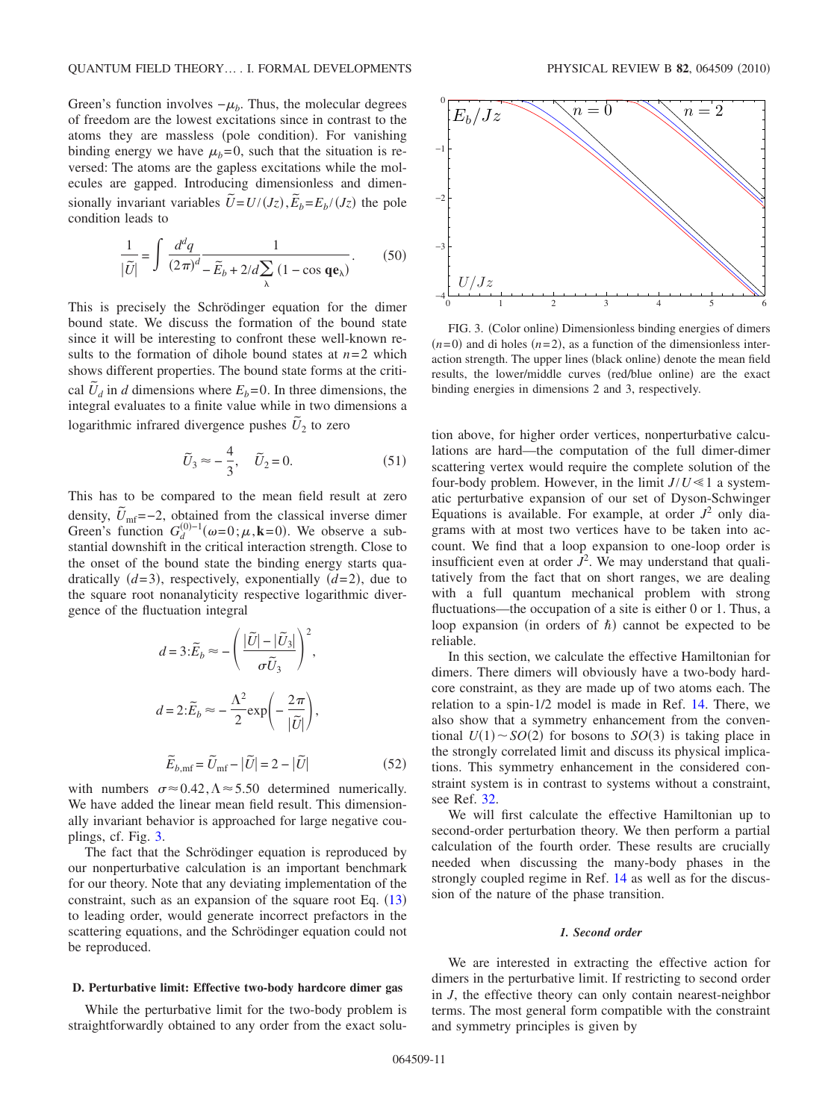Green's function involves  $-\mu_b$ . Thus, the molecular degrees of freedom are the lowest excitations since in contrast to the atoms they are massless (pole condition). For vanishing binding energy we have  $\mu_b = 0$ , such that the situation is reversed: The atoms are the gapless excitations while the molecules are gapped. Introducing dimensionless and dimensionally invariant variables  $\tilde{U} = U/(Jz)$ ,  $\tilde{E}_b = E_b/(Jz)$  the pole condition leads to

<span id="page-10-2"></span>
$$
\frac{1}{|\tilde{U}|} = \int \frac{d^d q}{(2\pi)^d} \frac{1}{-\tilde{E}_b + 2/d \sum_{\lambda} (1 - \cos q \mathbf{e}_{\lambda})}.
$$
 (50)

This is precisely the Schrödinger equation for the dimer bound state. We discuss the formation of the bound state since it will be interesting to confront these well-known results to the formation of dihole bound states at  $n=2$  which shows different properties. The bound state forms at the critical  $\tilde{U}_d$  in *d* dimensions where  $E_b$ =0. In three dimensions, the integral evaluates to a finite value while in two dimensions a logarithmic infrared divergence pushes  $\tilde{U}_2$  to zero

$$
\widetilde{U}_3 \approx -\frac{4}{3}, \quad \widetilde{U}_2 = 0. \tag{51}
$$

This has to be compared to the mean field result at zero density,  $\tilde{U}_{\text{mf}}$ =−2, obtained from the classical inverse dimer Green's function  $G_d^{(0)-1}(\omega=0; \mu, \mathbf{k}=0)$ . We observe a substantial downshift in the critical interaction strength. Close to the onset of the bound state the binding energy starts quadratically  $(d=3)$ , respectively, exponentially  $(d=2)$ , due to the square root nonanalyticity respective logarithmic divergence of the fluctuation integral

<span id="page-10-1"></span>
$$
d = 3: \widetilde{E}_b \approx -\left(\frac{|\widetilde{U}| - |\widetilde{U}_3|}{\sigma \widetilde{U}_3}\right)^2,
$$
  

$$
d = 2: \widetilde{E}_b \approx -\frac{\Lambda^2}{2} \exp\left(-\frac{2\pi}{|\widetilde{U}|}\right),
$$
  

$$
\widetilde{E}_{b,\text{mf}} = \widetilde{U}_{\text{mf}} - |\widetilde{U}| = 2 - |\widetilde{U}| \tag{52}
$$

with numbers  $\sigma \approx 0.42$ ,  $\Lambda \approx 5.50$  determined numerically. We have added the linear mean field result. This dimensionally invariant behavior is approached for large negative couplings, cf. Fig. [3.](#page-10-0)

The fact that the Schrödinger equation is reproduced by our nonperturbative calculation is an important benchmark for our theory. Note that any deviating implementation of the constraint, such as an expansion of the square root Eq.  $(13)$  $(13)$  $(13)$ to leading order, would generate incorrect prefactors in the scattering equations, and the Schrödinger equation could not be reproduced.

#### **D. Perturbative limit: Effective two-body hardcore dimer gas**

While the perturbative limit for the two-body problem is straightforwardly obtained to any order from the exact solu-

<span id="page-10-0"></span>

FIG. 3. (Color online) Dimensionless binding energies of dimers  $(n=0)$  and di holes  $(n=2)$ , as a function of the dimensionless interaction strength. The upper lines (black online) denote the mean field results, the lower/middle curves (red/blue online) are the exact binding energies in dimensions 2 and 3, respectively.

tion above, for higher order vertices, nonperturbative calculations are hard—the computation of the full dimer-dimer scattering vertex would require the complete solution of the four-body problem. However, in the limit  $J/U \ll 1$  a systematic perturbative expansion of our set of Dyson-Schwinger Equations is available. For example, at order  $J^2$  only diagrams with at most two vertices have to be taken into account. We find that a loop expansion to one-loop order is insufficient even at order  $J^2$ . We may understand that qualitatively from the fact that on short ranges, we are dealing with a full quantum mechanical problem with strong fluctuations—the occupation of a site is either 0 or 1. Thus, a loop expansion (in orders of  $\hbar$ ) cannot be expected to be reliable.

In this section, we calculate the effective Hamiltonian for dimers. There dimers will obviously have a two-body hardcore constraint, as they are made up of two atoms each. The relation to a spin-1/2 model is made in Ref. [14.](#page-17-12) There, we also show that a symmetry enhancement from the conventional  $U(1) \sim SO(2)$  for bosons to  $SO(3)$  is taking place in the strongly correlated limit and discuss its physical implications. This symmetry enhancement in the considered constraint system is in contrast to systems without a constraint, see Ref. [32.](#page-18-12)

We will first calculate the effective Hamiltonian up to second-order perturbation theory. We then perform a partial calculation of the fourth order. These results are crucially needed when discussing the many-body phases in the strongly coupled regime in Ref. [14](#page-17-12) as well as for the discussion of the nature of the phase transition.

### *1. Second order*

We are interested in extracting the effective action for dimers in the perturbative limit. If restricting to second order in *J*, the effective theory can only contain nearest-neighbor terms. The most general form compatible with the constraint and symmetry principles is given by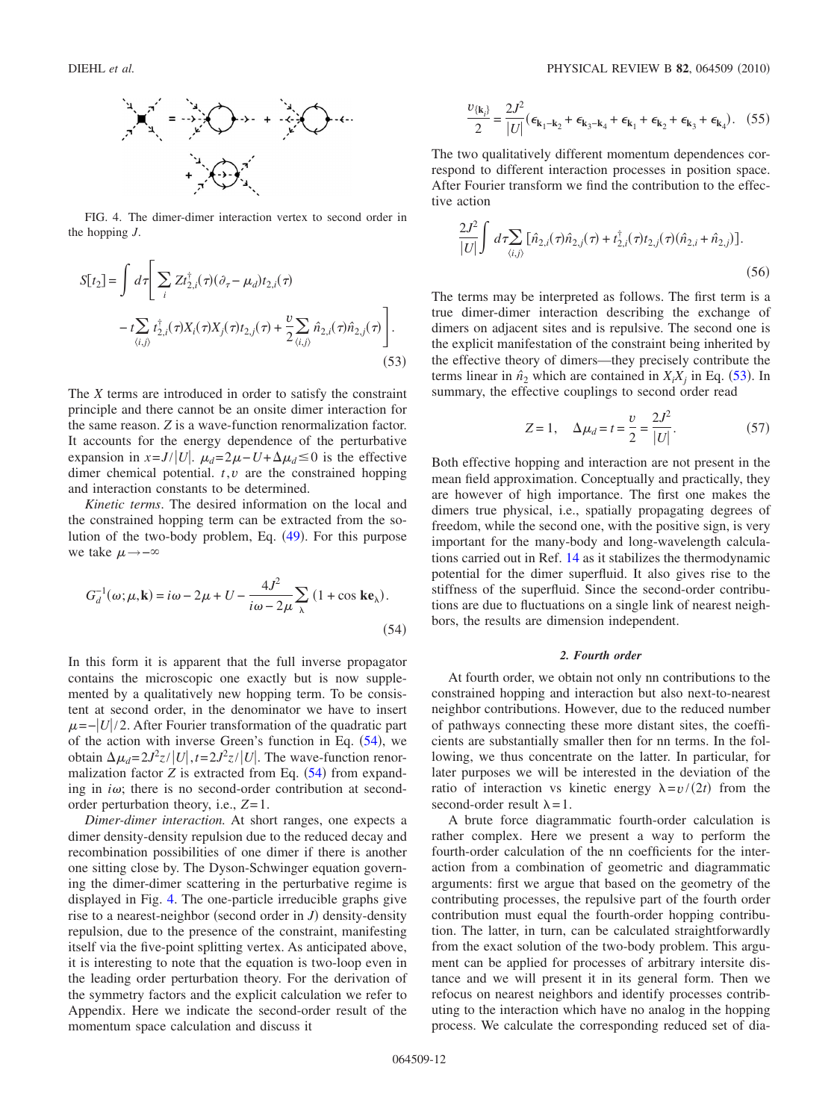<span id="page-11-1"></span>

FIG. 4. The dimer-dimer interaction vertex to second order in the hopping *J*.

<span id="page-11-2"></span>
$$
S[t_2] = \int d\tau \Bigg[ \sum_i Z t_{2,i}^{\dagger}(\tau) (\partial_{\tau} - \mu_d) t_{2,i}(\tau) - t \sum_{\langle i,j \rangle} t_{2,i}^{\dagger}(\tau) X_i(\tau) X_j(\tau) t_{2,j}(\tau) + \frac{\nu}{2} \sum_{\langle i,j \rangle} \hat{n}_{2,i}(\tau) \hat{n}_{2,j}(\tau) \Bigg].
$$
\n(53)

The *X* terms are introduced in order to satisfy the constraint principle and there cannot be an onsite dimer interaction for the same reason. *Z* is a wave-function renormalization factor. It accounts for the energy dependence of the perturbative expansion in  $x = J/[U]$ .  $\mu_d = 2\mu - U + \Delta \mu_d \leq 0$  is the effective dimer chemical potential. *t*,*v* are the constrained hopping and interaction constants to be determined.

*Kinetic terms*. The desired information on the local and the constrained hopping term can be extracted from the so-lution of the two-body problem, Eq. ([49](#page-9-1)). For this purpose we take  $\mu \rightarrow -\infty$ 

<span id="page-11-0"></span>
$$
G_d^{-1}(\omega;\mu,\mathbf{k}) = i\omega - 2\mu + U - \frac{4J^2}{i\omega - 2\mu} \sum_{\lambda} (1 + \cos \mathbf{ke}_{\lambda}).
$$
\n(54)

In this form it is apparent that the full inverse propagator contains the microscopic one exactly but is now supplemented by a qualitatively new hopping term. To be consistent at second order, in the denominator we have to insert  $\mu =$  $\frac{|U|}{2}$ . After Fourier transformation of the quadratic part of the action with inverse Green's function in Eq.  $(54)$  $(54)$  $(54)$ , we obtain  $\Delta \mu_d = 2J^2 z / |U|$ ,  $t = 2J^2 z / |U|$ . The wave-function renormalization factor  $Z$  is extracted from Eq.  $(54)$  $(54)$  $(54)$  from expanding in  $i\omega$ ; there is no second-order contribution at secondorder perturbation theory, i.e., *Z*=1.

*Dimer-dimer interaction.* At short ranges, one expects a dimer density-density repulsion due to the reduced decay and recombination possibilities of one dimer if there is another one sitting close by. The Dyson-Schwinger equation governing the dimer-dimer scattering in the perturbative regime is displayed in Fig. [4.](#page-11-1) The one-particle irreducible graphs give rise to a nearest-neighbor (second order in *J*) density-density repulsion, due to the presence of the constraint, manifesting itself via the five-point splitting vertex. As anticipated above, it is interesting to note that the equation is two-loop even in the leading order perturbation theory. For the derivation of the symmetry factors and the explicit calculation we refer to Appendix. Here we indicate the second-order result of the momentum space calculation and discuss it

$$
\frac{v_{\{\mathbf{k}_i\}}}{2} = \frac{2J^2}{|U|} (\epsilon_{\mathbf{k}_1 - \mathbf{k}_2} + \epsilon_{\mathbf{k}_3 - \mathbf{k}_4} + \epsilon_{\mathbf{k}_1} + \epsilon_{\mathbf{k}_2} + \epsilon_{\mathbf{k}_3} + \epsilon_{\mathbf{k}_4}).
$$
 (55)

The two qualitatively different momentum dependences correspond to different interaction processes in position space. After Fourier transform we find the contribution to the effective action

$$
\frac{2J^2}{|U|} \int d\tau \sum_{\langle i,j \rangle} \left[ \hat{n}_{2,i}(\tau) \hat{n}_{2,j}(\tau) + t_{2,i}^{\dagger}(\tau) t_{2,j}(\tau) (\hat{n}_{2,i} + \hat{n}_{2,j}) \right].
$$
\n(56)

The terms may be interpreted as follows. The first term is a true dimer-dimer interaction describing the exchange of dimers on adjacent sites and is repulsive. The second one is the explicit manifestation of the constraint being inherited by the effective theory of dimers—they precisely contribute the terms linear in  $\hat{n}_2$  which are contained in  $X_i X_j$  in Eq. ([53](#page-11-2)). In summary, the effective couplings to second order read

$$
Z = 1, \quad \Delta \mu_d = t = \frac{v}{2} = \frac{2J^2}{|U|}.
$$
 (57)

Both effective hopping and interaction are not present in the mean field approximation. Conceptually and practically, they are however of high importance. The first one makes the dimers true physical, i.e., spatially propagating degrees of freedom, while the second one, with the positive sign, is very important for the many-body and long-wavelength calculations carried out in Ref. [14](#page-17-12) as it stabilizes the thermodynamic potential for the dimer superfluid. It also gives rise to the stiffness of the superfluid. Since the second-order contributions are due to fluctuations on a single link of nearest neighbors, the results are dimension independent.

#### *2. Fourth order*

At fourth order, we obtain not only nn contributions to the constrained hopping and interaction but also next-to-nearest neighbor contributions. However, due to the reduced number of pathways connecting these more distant sites, the coefficients are substantially smaller then for nn terms. In the following, we thus concentrate on the latter. In particular, for later purposes we will be interested in the deviation of the ratio of interaction vs kinetic energy  $\lambda = v/(2t)$  from the second-order result  $\lambda = 1$ .

A brute force diagrammatic fourth-order calculation is rather complex. Here we present a way to perform the fourth-order calculation of the nn coefficients for the interaction from a combination of geometric and diagrammatic arguments: first we argue that based on the geometry of the contributing processes, the repulsive part of the fourth order contribution must equal the fourth-order hopping contribution. The latter, in turn, can be calculated straightforwardly from the exact solution of the two-body problem. This argument can be applied for processes of arbitrary intersite distance and we will present it in its general form. Then we refocus on nearest neighbors and identify processes contributing to the interaction which have no analog in the hopping process. We calculate the corresponding reduced set of dia-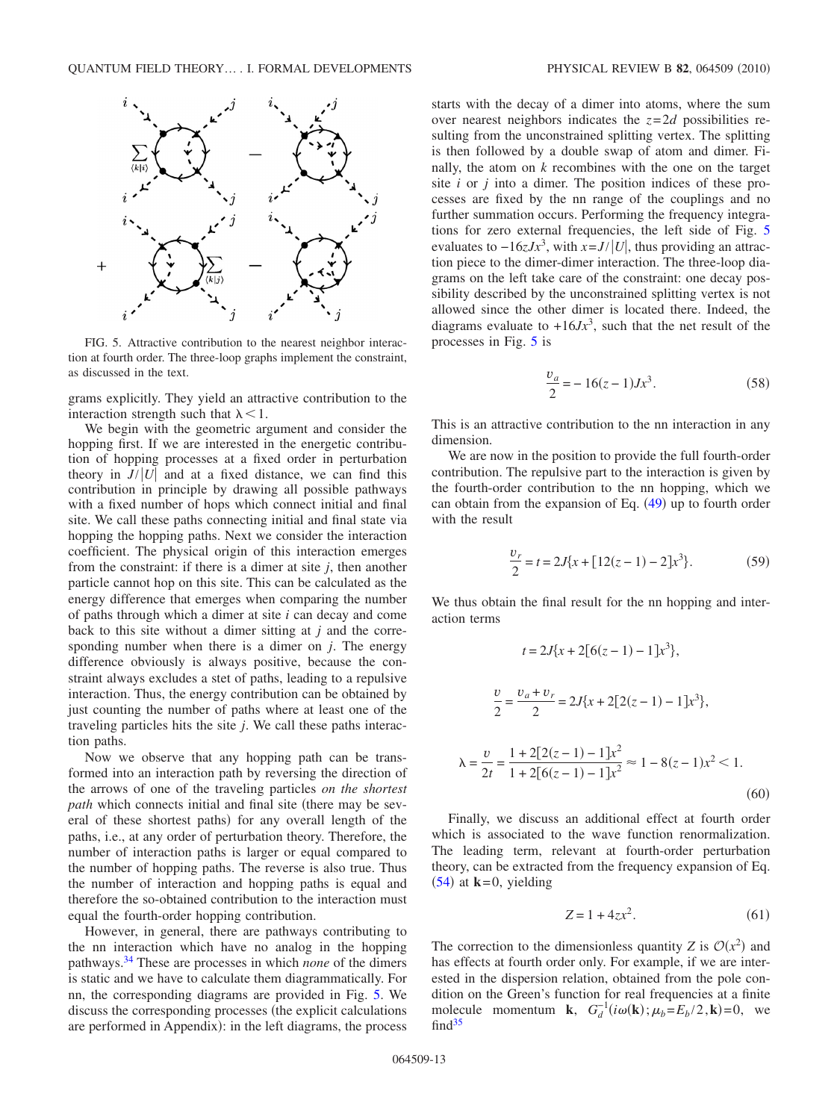<span id="page-12-0"></span>

FIG. 5. Attractive contribution to the nearest neighbor interaction at fourth order. The three-loop graphs implement the constraint, as discussed in the text.

grams explicitly. They yield an attractive contribution to the interaction strength such that  $\lambda < 1$ .

We begin with the geometric argument and consider the hopping first. If we are interested in the energetic contribution of hopping processes at a fixed order in perturbation theory in  $J/[U]$  and at a fixed distance, we can find this contribution in principle by drawing all possible pathways with a fixed number of hops which connect initial and final site. We call these paths connecting initial and final state via hopping the hopping paths. Next we consider the interaction coefficient. The physical origin of this interaction emerges from the constraint: if there is a dimer at site *j*, then another particle cannot hop on this site. This can be calculated as the energy difference that emerges when comparing the number of paths through which a dimer at site *i* can decay and come back to this site without a dimer sitting at *j* and the corresponding number when there is a dimer on *j*. The energy difference obviously is always positive, because the constraint always excludes a stet of paths, leading to a repulsive interaction. Thus, the energy contribution can be obtained by just counting the number of paths where at least one of the traveling particles hits the site *j*. We call these paths interaction paths.

Now we observe that any hopping path can be transformed into an interaction path by reversing the direction of the arrows of one of the traveling particles *on the shortest path* which connects initial and final site (there may be several of these shortest paths) for any overall length of the paths, i.e., at any order of perturbation theory. Therefore, the number of interaction paths is larger or equal compared to the number of hopping paths. The reverse is also true. Thus the number of interaction and hopping paths is equal and therefore the so-obtained contribution to the interaction must equal the fourth-order hopping contribution.

However, in general, there are pathways contributing to the nn interaction which have no analog in the hopping pathways[.34](#page-18-13) These are processes in which *none* of the dimers is static and we have to calculate them diagrammatically. For nn, the corresponding diagrams are provided in Fig. [5.](#page-12-0) We discuss the corresponding processes (the explicit calculations are performed in Appendix): in the left diagrams, the process

starts with the decay of a dimer into atoms, where the sum over nearest neighbors indicates the  $z=2d$  possibilities resulting from the unconstrained splitting vertex. The splitting is then followed by a double swap of atom and dimer. Finally, the atom on *k* recombines with the one on the target site *i* or *j* into a dimer. The position indices of these processes are fixed by the nn range of the couplings and no further summation occurs. Performing the frequency integrations for zero external frequencies, the left side of Fig. [5](#page-12-0) evaluates to  $-16zJx^3$ , with  $x=J/|U|$ , thus providing an attraction piece to the dimer-dimer interaction. The three-loop diagrams on the left take care of the constraint: one decay possibility described by the unconstrained splitting vertex is not allowed since the other dimer is located there. Indeed, the diagrams evaluate to  $+16Jx^3$ , such that the net result of the processes in Fig. [5](#page-12-0) is

$$
\frac{v_a}{2} = -16(z-1)Jx^3.
$$
 (58)

This is an attractive contribution to the nn interaction in any dimension.

We are now in the position to provide the full fourth-order contribution. The repulsive part to the interaction is given by the fourth-order contribution to the nn hopping, which we can obtain from the expansion of Eq.  $(49)$  $(49)$  $(49)$  up to fourth order with the result

$$
\frac{v_r}{2} = t = 2J\{x + [12(z - 1) - 2]x^3\}.
$$
 (59)

We thus obtain the final result for the nn hopping and interaction terms

$$
t = 2J\{x + 2[6(z - 1) - 1]x^{3}\},
$$
  
\n
$$
\frac{v}{2} = \frac{v_{a} + v_{r}}{2} = 2J\{x + 2[2(z - 1) - 1]x^{3}\},
$$
  
\n
$$
\lambda = \frac{v}{2t} = \frac{1 + 2[2(z - 1) - 1]x^{2}}{1 + 2[6(z - 1) - 1]x^{2}} \approx 1 - 8(z - 1)x^{2} < 1.
$$
  
\n(60)

Finally, we discuss an additional effect at fourth order which is associated to the wave function renormalization. The leading term, relevant at fourth-order perturbation theory, can be extracted from the frequency expansion of Eq.  $(54)$  $(54)$  $(54)$  at  $k=0$ , yielding

$$
Z = 1 + 4zx^2. \tag{61}
$$

The correction to the dimensionless quantity *Z* is  $\mathcal{O}(x^2)$  and has effects at fourth order only. For example, if we are interested in the dispersion relation, obtained from the pole condition on the Green's function for real frequencies at a finite molecule momentum **k**,  $G_d^{-1}(i\omega(\mathbf{k}); \mu_b = E_b/2, \mathbf{k}) = 0$ , we  $find<sup>35</sup>$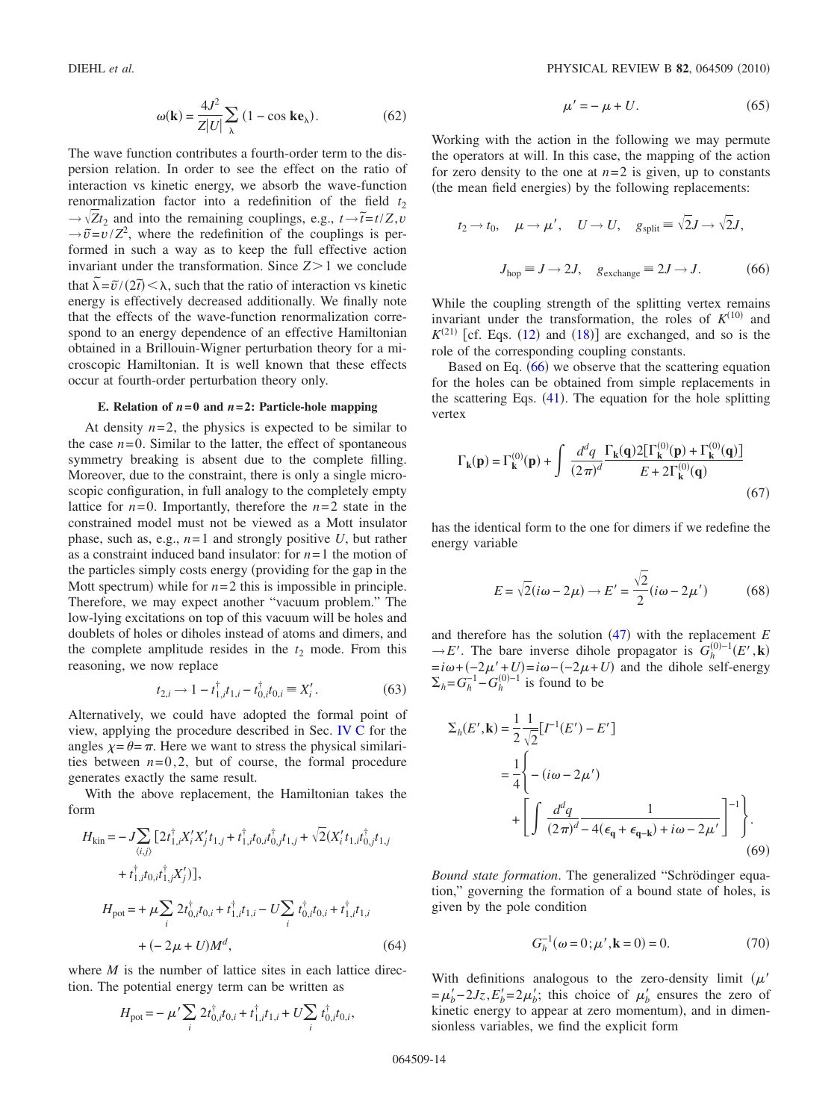$$
\omega(\mathbf{k}) = \frac{4J^2}{Z|U|} \sum_{\lambda} (1 - \cos \mathbf{k} \mathbf{e}_{\lambda}).
$$
 (62)

The wave function contributes a fourth-order term to the dispersion relation. In order to see the effect on the ratio of interaction vs kinetic energy, we absorb the wave-function renormalization factor into a redefinition of the field  $t_2$  $\rightarrow \sqrt{Z}t_2$  and into the remaining couplings, e.g.,  $t \rightarrow \tilde{t} = t/Z, v$  $\rightarrow \tilde{v} = v/Z^2$ , where the redefinition of the couplings is performed in such a way as to keep the full effective action invariant under the transformation. Since  $Z > 1$  we conclude that  $\tilde{\lambda} = \tilde{v}/(2\tilde{t}) < \lambda$ , such that the ratio of interaction vs kinetic energy is effectively decreased additionally. We finally note that the effects of the wave-function renormalization correspond to an energy dependence of an effective Hamiltonian obtained in a Brillouin-Wigner perturbation theory for a microscopic Hamiltonian. It is well known that these effects occur at fourth-order perturbation theory only.

#### **E.** Relation of  $n=0$  and  $n=2$ : Particle-hole mapping

At density  $n=2$ , the physics is expected to be similar to the case  $n=0$ . Similar to the latter, the effect of spontaneous symmetry breaking is absent due to the complete filling. Moreover, due to the constraint, there is only a single microscopic configuration, in full analogy to the completely empty lattice for  $n=0$ . Importantly, therefore the  $n=2$  state in the constrained model must not be viewed as a Mott insulator phase, such as, e.g.,  $n=1$  and strongly positive  $U$ , but rather as a constraint induced band insulator: for *n*= 1 the motion of the particles simply costs energy (providing for the gap in the Mott spectrum) while for  $n=2$  this is impossible in principle. Therefore, we may expect another "vacuum problem." The low-lying excitations on top of this vacuum will be holes and doublets of holes or diholes instead of atoms and dimers, and the complete amplitude resides in the  $t_2$  mode. From this reasoning, we now replace

$$
t_{2,i} \to 1 - t_{1,i}^{\dagger} t_{1,i} - t_{0,i}^{\dagger} t_{0,i} \equiv X'_i.
$$
 (63)

Alternatively, we could have adopted the formal point of view, applying the procedure described in Sec. [IV C](#page-5-0) for the angles  $\chi = \theta = \pi$ . Here we want to stress the physical similarities between  $n=0, 2$ , but of course, the formal procedure generates exactly the same result.

With the above replacement, the Hamiltonian takes the form

$$
H_{\text{kin}} = -J \sum_{\langle i,j \rangle} \left[ 2t_{1,i}^{\dagger} X_i' X_j' t_{1,j} + t_{1,i}^{\dagger} t_{0,i} t_{0,j}^{\dagger} t_{1,j} + \sqrt{2} (X_i' t_{1,i} t_{0,j}^{\dagger} t_{1,j} + t_{1,i}^{\dagger} t_{0,i} t_{1,j}^{\dagger} X_j') \right],
$$
  
\n
$$
H_{\text{pot}} = + \mu \sum_{i} 2t_{0,i}^{\dagger} t_{0,i} + t_{1,i}^{\dagger} t_{1,i} - U \sum_{i} t_{0,i}^{\dagger} t_{0,i} + t_{1,i}^{\dagger} t_{1,i}
$$
  
\n
$$
+ (-2\mu + U) M^d,
$$
 (64)

where *M* is the number of lattice sites in each lattice direction. The potential energy term can be written as

$$
H_{\text{pot}} = -\mu' \sum_{i} 2t_{0,i}^{\dagger} t_{0,i} + t_{1,i}^{\dagger} t_{1,i} + U \sum_{i} t_{0,i}^{\dagger} t_{0,i},
$$

$$
\mu' = -\mu + U. \tag{65}
$$

Working with the action in the following we may permute the operators at will. In this case, the mapping of the action for zero density to the one at  $n=2$  is given, up to constants (the mean field energies) by the following replacements:

<span id="page-13-0"></span>
$$
t_2 \to t_0
$$
,  $\mu \to \mu'$ ,  $U \to U$ ,  $g_{split} \equiv \sqrt{2}J \to \sqrt{2}J$ ,  
 $J_{\text{hop}} \equiv J \to 2J$ ,  $g_{\text{exchange}} \equiv 2J \to J$ . (66)

While the coupling strength of the splitting vertex remains invariant under the transformation, the roles of  $K^{(10)}$  and  $K^{(21)}$  [cf. Eqs. ([12](#page-3-0)) and ([18](#page-4-1))] are exchanged, and so is the role of the corresponding coupling constants.

Based on Eq. ([66](#page-13-0)) we observe that the scattering equation for the holes can be obtained from simple replacements in the scattering Eqs.  $(41)$  $(41)$  $(41)$ . The equation for the hole splitting vertex

$$
\Gamma_{\mathbf{k}}(\mathbf{p}) = \Gamma_{\mathbf{k}}^{(0)}(\mathbf{p}) + \int \frac{d^d q}{(2\pi)^d} \frac{\Gamma_{\mathbf{k}}(\mathbf{q}) 2[\Gamma_{\mathbf{k}}^{(0)}(\mathbf{p}) + \Gamma_{\mathbf{k}}^{(0)}(\mathbf{q})]}{E + 2\Gamma_{\mathbf{k}}^{(0)}(\mathbf{q})}
$$
(67)

has the identical form to the one for dimers if we redefine the energy variable

$$
E = \sqrt{2}(i\omega - 2\mu) \rightarrow E' = \frac{\sqrt{2}}{2}(i\omega - 2\mu')
$$
 (68)

and therefore has the solution ([47](#page-9-3)) with the replacement *E*  $\rightarrow$ *E'*. The bare inverse dihole propagator is  $G_h^{(0)-1}(E', \mathbf{k})$  $=i\omega+(-2\mu'+U)=i\omega-(-2\mu+U)$  and the dihole self-energy  $\sum_{h} = G_h^{-1} - G_h^{(0)-1}$  is found to be

$$
\Sigma_h(E', \mathbf{k}) = \frac{1}{2} \frac{1}{\sqrt{2}} [I^{-1}(E') - E']
$$
  
= 
$$
\frac{1}{4} \Biggl\{ - (i\omega - 2\mu')
$$
  
+ 
$$
\Biggl[ \int \frac{d^d q}{(2\pi)^d - 4(\epsilon_q + \epsilon_{q-\mathbf{k}}) + i\omega - 2\mu'} \Biggr]^{-1} \Biggr\}.
$$
(69)

*Bound state formation*. The generalized "Schrödinger equation," governing the formation of a bound state of holes, is given by the pole condition

$$
G_h^{-1}(\omega = 0; \mu', \mathbf{k} = 0) = 0.
$$
 (70)

With definitions analogous to the zero-density limit  $(\mu')$  $=\mu'_b - 2Jz, E'_b = 2\mu'_b$ ; this choice of  $\mu'_b$  ensures the zero of kinetic energy to appear at zero momentum), and in dimensionless variables, we find the explicit form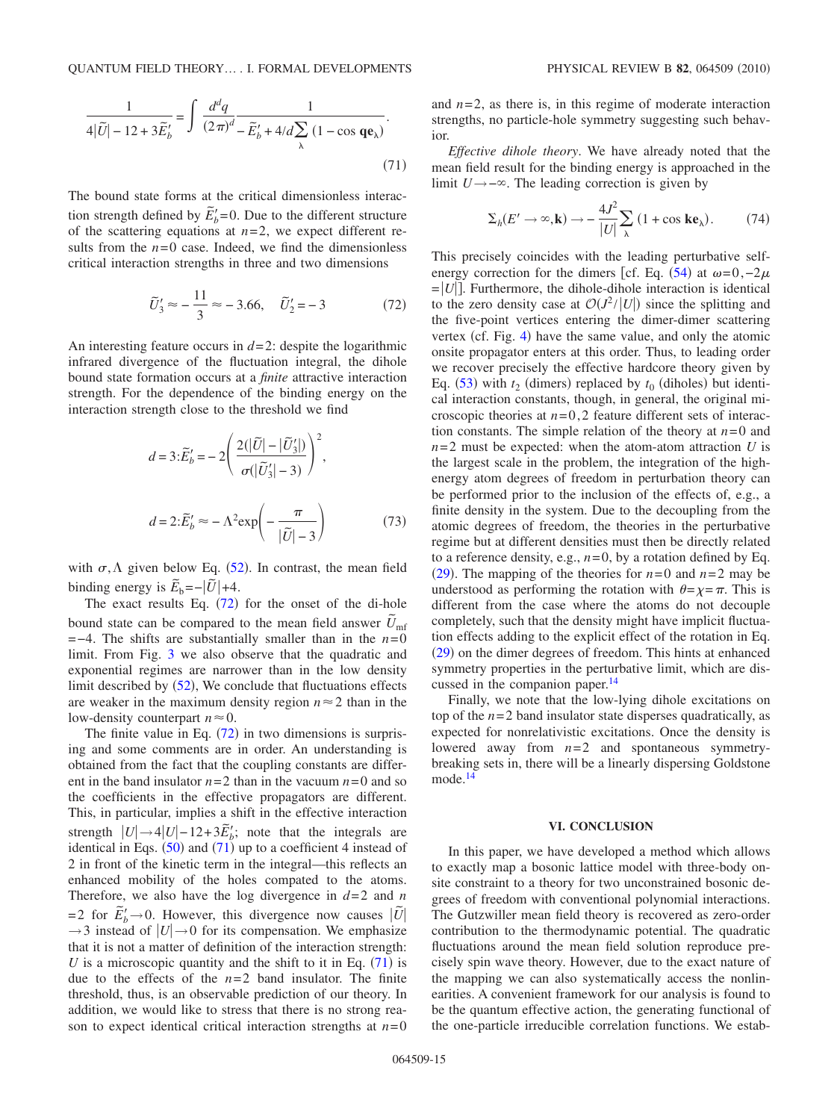<span id="page-14-2"></span>The bound state forms at the critical dimensionless interaction strength defined by  $\tilde{E}'_b$  = 0. Due to the different structure of the scattering equations at  $n=2$ , we expect different results from the  $n=0$  case. Indeed, we find the dimensionless critical interaction strengths in three and two dimensions

$$
\widetilde{U}'_3 \approx -\frac{11}{3} \approx -3.66, \quad \widetilde{U}'_2 = -3
$$
 (72)

<span id="page-14-1"></span>An interesting feature occurs in  $d=2$ : despite the logarithmic infrared divergence of the fluctuation integral, the dihole bound state formation occurs at a *finite* attractive interaction strength. For the dependence of the binding energy on the interaction strength close to the threshold we find

$$
d = 3: \widetilde{E}'_b = -2\left(\frac{2(|\widetilde{U}| - |\widetilde{U}'_3|)}{\sigma(|\widetilde{U}'_3| - 3)}\right)^2,
$$
  

$$
d = 2: \widetilde{E}'_b \approx -\Lambda^2 \exp\left(-\frac{\pi}{|\widetilde{U}| - 3}\right) \tag{73}
$$

with  $\sigma$ ,  $\Lambda$  given below Eq. ([52](#page-10-1)). In contrast, the mean field binding energy is  $\tilde{E}_b = -|\tilde{U}| + 4$ .

The exact results Eq.  $(72)$  $(72)$  $(72)$  for the onset of the di-hole bound state can be compared to the mean field answer  $\tilde{U}_{\text{mf}}$ =−4. The shifts are substantially smaller than in the *n*= 0 limit. From Fig. [3](#page-10-0) we also observe that the quadratic and exponential regimes are narrower than in the low density limit described by  $(52)$  $(52)$  $(52)$ , We conclude that fluctuations effects are weaker in the maximum density region  $n \approx 2$  than in the low-density counterpart  $n \approx 0$ .

The finite value in Eq.  $(72)$  $(72)$  $(72)$  in two dimensions is surprising and some comments are in order. An understanding is obtained from the fact that the coupling constants are different in the band insulator  $n=2$  than in the vacuum  $n=0$  and so the coefficients in the effective propagators are different. This, in particular, implies a shift in the effective interaction strength  $|U| \rightarrow 4|U|$  – 12+3 $E'_b$ ; note that the integrals are identical in Eqs.  $(50)$  $(50)$  $(50)$  and  $(71)$  $(71)$  $(71)$  up to a coefficient 4 instead of 2 in front of the kinetic term in the integral—this reflects an enhanced mobility of the holes compated to the atoms. Therefore, we also have the log divergence in  $d=2$  and *n* = 2 for  $\vec{E}'_b \rightarrow 0$ . However, this divergence now causes  $|\tilde{U}|$  $\rightarrow$ 3 instead of  $|U| \rightarrow 0$  for its compensation. We emphasize that it is not a matter of definition of the interaction strength:  $U$  is a microscopic quantity and the shift to it in Eq.  $(71)$  $(71)$  $(71)$  is due to the effects of the  $n=2$  band insulator. The finite threshold, thus, is an observable prediction of our theory. In addition, we would like to stress that there is no strong reason to expect identical critical interaction strengths at  $n=0$  and  $n=2$ , as there is, in this regime of moderate interaction strengths, no particle-hole symmetry suggesting such behavior.

*Effective dihole theory*. We have already noted that the mean field result for the binding energy is approached in the limit *U*→−∞. The leading correction is given by

$$
\Sigma_h(E' \to \infty, \mathbf{k}) \to -\frac{4J^2}{|U|} \sum_{\lambda} (1 + \cos \mathbf{k} \mathbf{e}_{\lambda}).
$$
 (74)

This precisely coincides with the leading perturbative selfenergy correction for the dimers [cf. Eq.  $(54)$  $(54)$  $(54)$  at  $\omega=0, -2\mu$  $= |U|$ . Furthermore, the dihole-dihole interaction is identical to the zero density case at  $O(J^2/|U|)$  since the splitting and the five-point vertices entering the dimer-dimer scattering vertex (cf. Fig. [4](#page-11-1)) have the same value, and only the atomic onsite propagator enters at this order. Thus, to leading order we recover precisely the effective hardcore theory given by Eq.  $(53)$  $(53)$  $(53)$  with  $t_2$  (dimers) replaced by  $t_0$  (diholes) but identical interaction constants, though, in general, the original microscopic theories at *n*=0,2 feature different sets of interaction constants. The simple relation of the theory at  $n=0$  and  $n=2$  must be expected: when the atom-atom attraction *U* is the largest scale in the problem, the integration of the highenergy atom degrees of freedom in perturbation theory can be performed prior to the inclusion of the effects of, e.g., a finite density in the system. Due to the decoupling from the atomic degrees of freedom, the theories in the perturbative regime but at different densities must then be directly related to a reference density, e.g.,  $n=0$ , by a rotation defined by Eq. ([29](#page-6-0)). The mapping of the theories for  $n=0$  and  $n=2$  may be understood as performing the rotation with  $\theta = \chi = \pi$ . This is different from the case where the atoms do not decouple completely, such that the density might have implicit fluctuation effects adding to the explicit effect of the rotation in Eq. ([29](#page-6-0)) on the dimer degrees of freedom. This hints at enhanced symmetry properties in the perturbative limit, which are discussed in the companion paper.<sup>14</sup>

Finally, we note that the low-lying dihole excitations on top of the  $n=2$  band insulator state disperses quadratically, as expected for nonrelativistic excitations. Once the density is lowered away from  $n=2$  and spontaneous symmetrybreaking sets in, there will be a linearly dispersing Goldstone mode[.14](#page-17-12)

#### **VI. CONCLUSION**

<span id="page-14-0"></span>In this paper, we have developed a method which allows to exactly map a bosonic lattice model with three-body onsite constraint to a theory for two unconstrained bosonic degrees of freedom with conventional polynomial interactions. The Gutzwiller mean field theory is recovered as zero-order contribution to the thermodynamic potential. The quadratic fluctuations around the mean field solution reproduce precisely spin wave theory. However, due to the exact nature of the mapping we can also systematically access the nonlinearities. A convenient framework for our analysis is found to be the quantum effective action, the generating functional of the one-particle irreducible correlation functions. We estab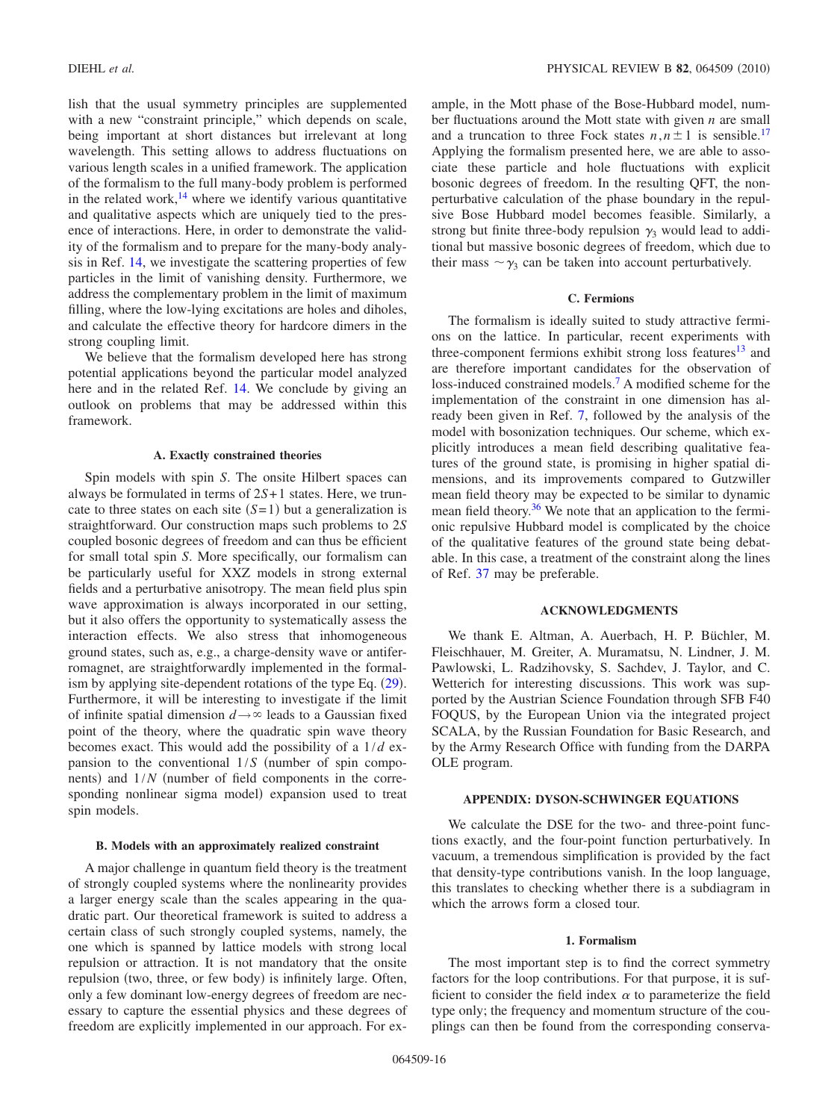lish that the usual symmetry principles are supplemented with a new "constraint principle," which depends on scale, being important at short distances but irrelevant at long wavelength. This setting allows to address fluctuations on various length scales in a unified framework. The application of the formalism to the full many-body problem is performed in the related work, $^{14}$  where we identify various quantitative and qualitative aspects which are uniquely tied to the presence of interactions. Here, in order to demonstrate the validity of the formalism and to prepare for the many-body analysis in Ref. [14,](#page-17-12) we investigate the scattering properties of few particles in the limit of vanishing density. Furthermore, we address the complementary problem in the limit of maximum filling, where the low-lying excitations are holes and diholes, and calculate the effective theory for hardcore dimers in the strong coupling limit.

We believe that the formalism developed here has strong potential applications beyond the particular model analyzed here and in the related Ref. [14.](#page-17-12) We conclude by giving an outlook on problems that may be addressed within this framework.

### **A. Exactly constrained theories**

Spin models with spin *S*. The onsite Hilbert spaces can always be formulated in terms of 2*S*+ 1 states. Here, we truncate to three states on each site  $(S=1)$  but a generalization is straightforward. Our construction maps such problems to 2*S* coupled bosonic degrees of freedom and can thus be efficient for small total spin *S*. More specifically, our formalism can be particularly useful for XXZ models in strong external fields and a perturbative anisotropy. The mean field plus spin wave approximation is always incorporated in our setting, but it also offers the opportunity to systematically assess the interaction effects. We also stress that inhomogeneous ground states, such as, e.g., a charge-density wave or antiferromagnet, are straightforwardly implemented in the formal-ism by applying site-dependent rotations of the type Eq. ([29](#page-6-0)). Furthermore, it will be interesting to investigate if the limit of infinite spatial dimension  $d \rightarrow \infty$  leads to a Gaussian fixed point of the theory, where the quadratic spin wave theory becomes exact. This would add the possibility of a 1/*d* expansion to the conventional  $1/S$  (number of spin components) and  $1/N$  (number of field components in the corresponding nonlinear sigma model) expansion used to treat spin models.

#### **B. Models with an approximately realized constraint**

A major challenge in quantum field theory is the treatment of strongly coupled systems where the nonlinearity provides a larger energy scale than the scales appearing in the quadratic part. Our theoretical framework is suited to address a certain class of such strongly coupled systems, namely, the one which is spanned by lattice models with strong local repulsion or attraction. It is not mandatory that the onsite repulsion (two, three, or few body) is infinitely large. Often, only a few dominant low-energy degrees of freedom are necessary to capture the essential physics and these degrees of freedom are explicitly implemented in our approach. For example, in the Mott phase of the Bose-Hubbard model, number fluctuations around the Mott state with given *n* are small and a truncation to three Fock states  $n, n \pm 1$  is sensible.<sup>17</sup> Applying the formalism presented here, we are able to associate these particle and hole fluctuations with explicit bosonic degrees of freedom. In the resulting QFT, the nonperturbative calculation of the phase boundary in the repulsive Bose Hubbard model becomes feasible. Similarly, a strong but finite three-body repulsion  $\gamma_3$  would lead to additional but massive bosonic degrees of freedom, which due to their mass  $\sim \gamma_3$  can be taken into account perturbatively.

## **C. Fermions**

The formalism is ideally suited to study attractive fermions on the lattice. In particular, recent experiments with three-component fermions exhibit strong loss features<sup>13</sup> and are therefore important candidates for the observation of loss-induced constrained models[.7](#page-17-6) A modified scheme for the implementation of the constraint in one dimension has already been given in Ref. [7,](#page-17-6) followed by the analysis of the model with bosonization techniques. Our scheme, which explicitly introduces a mean field describing qualitative features of the ground state, is promising in higher spatial dimensions, and its improvements compared to Gutzwiller mean field theory may be expected to be similar to dynamic mean field theory.<sup>36</sup> We note that an application to the fermionic repulsive Hubbard model is complicated by the choice of the qualitative features of the ground state being debatable. In this case, a treatment of the constraint along the lines of Ref. [37](#page-18-16) may be preferable.

## **ACKNOWLEDGMENTS**

We thank E. Altman, A. Auerbach, H. P. Büchler, M. Fleischhauer, M. Greiter, A. Muramatsu, N. Lindner, J. M. Pawlowski, L. Radzihovsky, S. Sachdev, J. Taylor, and C. Wetterich for interesting discussions. This work was supported by the Austrian Science Foundation through SFB F40 FOQUS, by the European Union via the integrated project SCALA, by the Russian Foundation for Basic Research, and by the Army Research Office with funding from the DARPA OLE program.

## **APPENDIX: DYSON-SCHWINGER EQUATIONS**

We calculate the DSE for the two- and three-point functions exactly, and the four-point function perturbatively. In vacuum, a tremendous simplification is provided by the fact that density-type contributions vanish. In the loop language, this translates to checking whether there is a subdiagram in which the arrows form a closed tour.

### **1. Formalism**

The most important step is to find the correct symmetry factors for the loop contributions. For that purpose, it is sufficient to consider the field index  $\alpha$  to parameterize the field type only; the frequency and momentum structure of the couplings can then be found from the corresponding conserva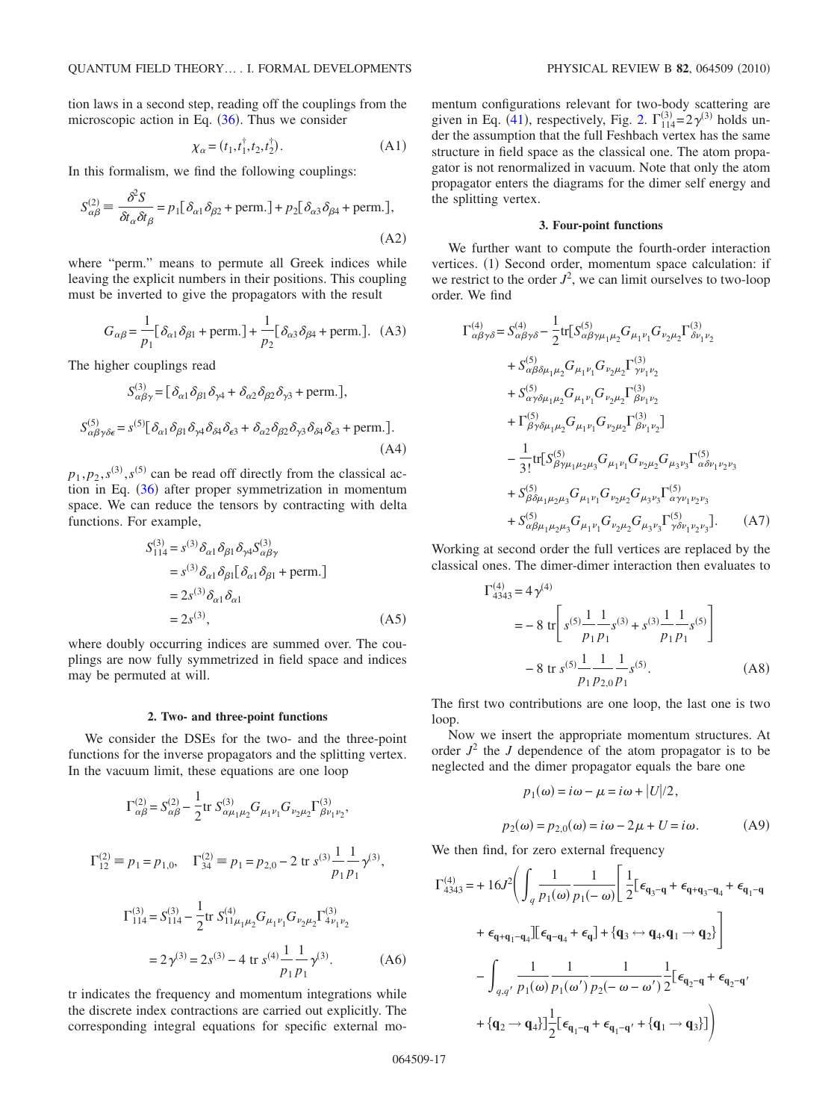tion laws in a second step, reading off the couplings from the microscopic action in Eq.  $(36)$  $(36)$  $(36)$ . Thus we consider

$$
\chi_{\alpha} = (t_1, t_1^{\dagger}, t_2, t_2^{\dagger}). \tag{A1}
$$

In this formalism, we find the following couplings:

$$
S_{\alpha\beta}^{(2)} \equiv \frac{\partial^2 S}{\partial t_\alpha \partial t_\beta} = p_1 [\delta_{\alpha 1} \delta_{\beta 2} + \text{perm.}] + p_2 [\delta_{\alpha 3} \delta_{\beta 4} + \text{perm.}],
$$
\n(A2)

where "perm." means to permute all Greek indices while leaving the explicit numbers in their positions. This coupling must be inverted to give the propagators with the result

$$
G_{\alpha\beta} = \frac{1}{p_1} [\delta_{\alpha 1} \delta_{\beta 1} + \text{perm.}] + \frac{1}{p_2} [\delta_{\alpha 3} \delta_{\beta 4} + \text{perm.}]. \tag{A3}
$$

The higher couplings read

$$
S^{(3)}_{\alpha\beta\gamma} = [\delta_{\alpha 1} \delta_{\beta 1} \delta_{\gamma 4} + \delta_{\alpha 2} \delta_{\beta 2} \delta_{\gamma 3} + \text{perm.}],
$$
  

$$
S^{(5)}_{\alpha\beta\gamma\delta\epsilon} = s^{(5)} [\delta_{\alpha 1} \delta_{\beta 1} \delta_{\gamma 4} \delta_{\delta 4} \delta_{\epsilon 3} + \delta_{\alpha 2} \delta_{\beta 2} \delta_{\gamma 3} \delta_{\delta 4} \delta_{\epsilon 3} + \text{perm.}].
$$
  
(A4)

 $p_1, p_2, s^{(3)}, s^{(5)}$  can be read off directly from the classical ac-tion in Eq. ([36](#page-8-2)) after proper symmetrization in momentum space. We can reduce the tensors by contracting with delta functions. For example,

$$
S_{114}^{(3)} = s^{(3)} \delta_{\alpha 1} \delta_{\beta 1} \delta_{\gamma 4} S_{\alpha \beta \gamma}^{(3)}
$$
  
=  $s^{(3)} \delta_{\alpha 1} \delta_{\beta 1} [\delta_{\alpha 1} \delta_{\beta 1} + \text{perm.}]$   
=  $2s^{(3)} \delta_{\alpha 1} \delta_{\alpha 1}$   
=  $2s^{(3)}$ , (A5)

where doubly occurring indices are summed over. The couplings are now fully symmetrized in field space and indices may be permuted at will.

#### **2. Two- and three-point functions**

We consider the DSEs for the two- and the three-point functions for the inverse propagators and the splitting vertex. In the vacuum limit, these equations are one loop

$$
\Gamma_{\alpha\beta}^{(2)} = S_{\alpha\beta}^{(2)} - \frac{1}{2} \text{tr } S_{\alpha\mu_1\mu_2}^{(3)} G_{\mu_1\nu_1} G_{\nu_2\mu_2} \Gamma_{\beta\nu_1\nu_2}^{(3)},
$$
  
\n
$$
\Gamma_{12}^{(2)} \equiv p_1 = p_{1,0}, \quad \Gamma_{34}^{(2)} \equiv p_1 = p_{2,0} - 2 \text{ tr } s^{(3)} \frac{1}{p_1} \frac{1}{p_1} \gamma^{(3)},
$$
  
\n
$$
\Gamma_{114}^{(3)} = S_{114}^{(3)} - \frac{1}{2} \text{tr } S_{11\mu_1\mu_2}^{(4)} G_{\mu_1\nu_1} G_{\nu_2\mu_2} \Gamma_{4\nu_1\nu_2}^{(3)}
$$
  
\n
$$
= 2 \gamma^{(3)} = 2s^{(3)} - 4 \text{ tr } s^{(4)} \frac{1}{p_1} \frac{1}{p_1} \gamma^{(3)}.
$$
 (A6)

tr indicates the frequency and momentum integrations while the discrete index contractions are carried out explicitly. The corresponding integral equations for specific external momentum configurations relevant for two-body scattering are given in Eq. ([41](#page-9-2)), respectively, Fig. [2.](#page-9-0)  $\Gamma_{114}^{(3)} = 2\gamma^{(3)}$  holds under the assumption that the full Feshbach vertex has the same structure in field space as the classical one. The atom propagator is not renormalized in vacuum. Note that only the atom propagator enters the diagrams for the dimer self energy and the splitting vertex.

## **3. Four-point functions**

We further want to compute the fourth-order interaction vertices. (1) Second order, momentum space calculation: if we restrict to the order  $J^2$ , we can limit ourselves to two-loop order. We find

<span id="page-16-0"></span>
$$
\Gamma_{\alpha\beta\gamma\delta}^{(4)} = S_{\alpha\beta\gamma\delta}^{(4)} - \frac{1}{2} \text{tr} \big[ S_{\alpha\beta\gamma\mu_1\mu_2}^{(5)} G_{\mu_1\nu_1} G_{\nu_2\mu_2} \Gamma_{\delta\nu_1\nu_2}^{(3)} \n+ S_{\alpha\beta\delta\mu_1\mu_2}^{(5)} G_{\mu_1\nu_1} G_{\nu_2\mu_2} \Gamma_{\gamma\nu_1\nu_2}^{(3)} \n+ S_{\alpha\gamma\delta\mu_1\mu_2}^{(5)} G_{\mu_1\nu_1} G_{\nu_2\mu_2} \Gamma_{\beta\nu_1\nu_2}^{(3)} \n+ \Gamma_{\beta\gamma\delta\mu_1\mu_2}^{(5)} G_{\mu_1\nu_1} G_{\nu_2\mu_2} \Gamma_{\beta\nu_1\nu_2}^{(3)} \n- \frac{1}{3!} \text{tr} \big[ S_{\beta\gamma\mu_1\mu_2\mu_3}^{(5)} G_{\mu_1\nu_1} G_{\nu_2\mu_2} G_{\mu_3\nu_3} \Gamma_{\alpha\delta\nu_1\nu_2\nu_3}^{(5)} \n+ S_{\beta\delta\mu_1\mu_2\mu_3}^{(5)} G_{\mu_1\nu_1} G_{\nu_2\mu_2} G_{\mu_3\nu_3} \Gamma_{\alpha\gamma\nu_1\nu_2\nu_3}^{(5)} \n+ S_{\alpha\beta\mu_1\mu_2\mu_3}^{(5)} G_{\mu_1\nu_1} G_{\nu_2\mu_2} G_{\mu_3\nu_3} \Gamma_{\gamma\delta\nu_1\nu_2\nu_3}^{(5)} \big].
$$
\n(A7)

Working at second order the full vertices are replaced by the classical ones. The dimer-dimer interaction then evaluates to

$$
\Gamma_{4343}^{(4)} = 4\gamma^{(4)}
$$
  
= -8 tr  $\left[ s^{(5)} \frac{1}{p_1 p_1} \frac{1}{p_1} s^{(3)} + s^{(3)} \frac{1}{p_1 p_1} \frac{1}{p_1} s^{(5)} \right]$   
- 8 tr  $s^{(5)} \frac{1}{p_1 p_2} \frac{1}{p_1 p_2} s^{(5)}$ . (A8)

The first two contributions are one loop, the last one is two loop.

Now we insert the appropriate momentum structures. At order  $J^2$  the *J* dependence of the atom propagator is to be neglected and the dimer propagator equals the bare one

$$
p_1(\omega) = i\omega - \mu = i\omega + |U|/2,
$$
  

$$
p_2(\omega) = p_{2,0}(\omega) = i\omega - 2\mu + U = i\omega.
$$
 (A9)

We then find, for zero external frequency

$$
\Gamma_{4343}^{(4)} = + 16J^2 \bigg( \int_q \frac{1}{p_1(\omega)} \frac{1}{p_1(-\omega)} \bigg[ \frac{1}{2} [\epsilon_{\mathbf{q}_3-\mathbf{q}} + \epsilon_{\mathbf{q}+\mathbf{q}_3-\mathbf{q}_4} + \epsilon_{\mathbf{q}_1-\mathbf{q}} \n+ \epsilon_{\mathbf{q}+\mathbf{q}_1-\mathbf{q}_4} \big] [\epsilon_{\mathbf{q}-\mathbf{q}_4} + \epsilon_{\mathbf{q}}] + \{\mathbf{q}_3 \leftrightarrow \mathbf{q}_4, \mathbf{q}_1 \rightarrow \mathbf{q}_2\} \bigg] \n- \int_{q,q'} \frac{1}{p_1(\omega)} \frac{1}{p_1(\omega')} \frac{1}{p_2(-\omega-\omega')} \frac{1}{2} [\epsilon_{\mathbf{q}_2-\mathbf{q}} + \epsilon_{\mathbf{q}_2-\mathbf{q'}} \n+ \{\mathbf{q}_2 \rightarrow \mathbf{q}_4\} \big] \frac{1}{2} [\epsilon_{\mathbf{q}_1-\mathbf{q}} + \epsilon_{\mathbf{q}_1-\mathbf{q'}} + \{\mathbf{q}_1 \rightarrow \mathbf{q}_3\}] \bigg)
$$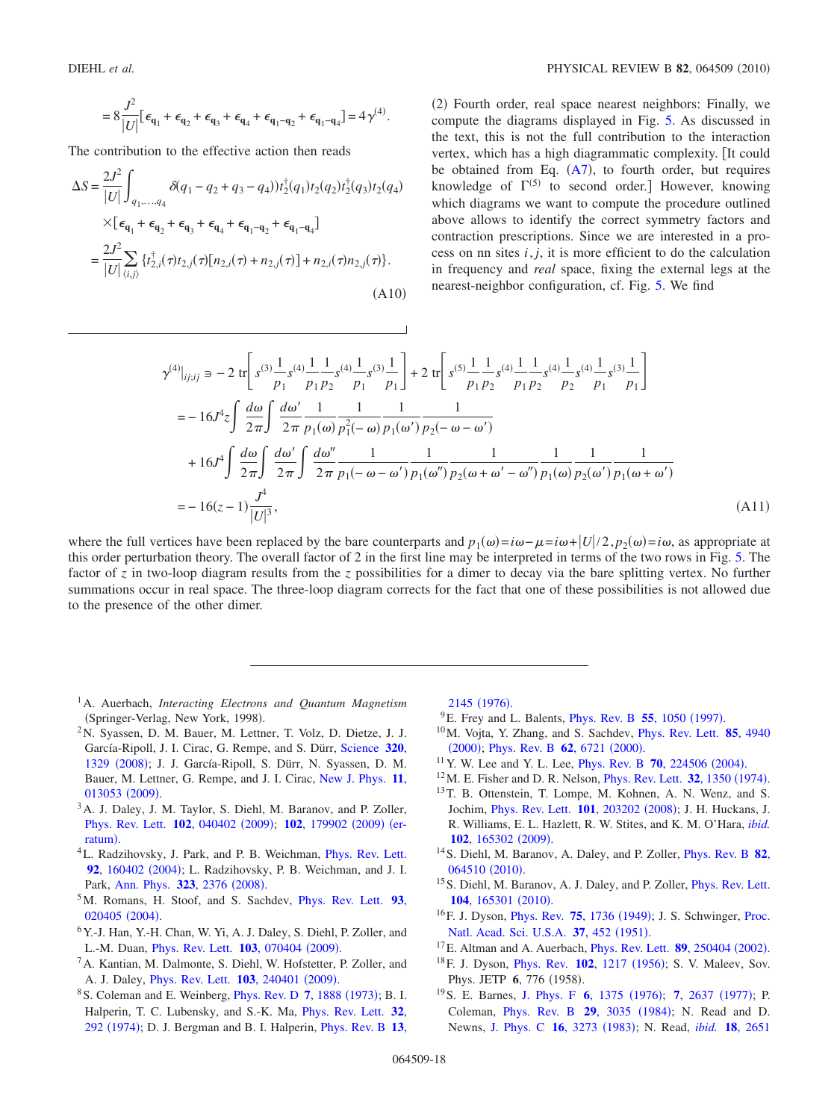$$
=8\frac{J^2}{|U|}[\epsilon_{\mathbf{q}_1}+\epsilon_{\mathbf{q}_2}+\epsilon_{\mathbf{q}_3}+\epsilon_{\mathbf{q}_4}+\epsilon_{\mathbf{q}_1-\mathbf{q}_2}+\epsilon_{\mathbf{q}_1-\mathbf{q}_4}]=4\,\gamma^{(4)}.
$$

The contribution to the effective action then reads

$$
\Delta S = \frac{2J^2}{|U|} \int_{q_1,...,q_4} \delta(q_1 - q_2 + q_3 - q_4) t_2^{\dagger}(q_1) t_2(q_2) t_2^{\dagger}(q_3) t_2(q_4)
$$
  
\n
$$
\times [\epsilon_{\mathbf{q}_1} + \epsilon_{\mathbf{q}_2} + \epsilon_{\mathbf{q}_3} + \epsilon_{\mathbf{q}_4} + \epsilon_{\mathbf{q}_1 - \mathbf{q}_2} + \epsilon_{\mathbf{q}_1 - \mathbf{q}_4}]
$$
  
\n
$$
= \frac{2J^2}{|U|} \sum_{\langle i,j \rangle} \{t_{2,i}^{\dagger}(\tau) t_{2,j}(\tau) [n_{2,i}(\tau) + n_{2,j}(\tau)] + n_{2,i}(\tau) n_{2,j}(\tau) \}.
$$
  
\n(A10)

(2) Fourth order, real space nearest neighbors: Finally, we compute the diagrams displayed in Fig. [5.](#page-12-0) As discussed in the text, this is not the full contribution to the interaction vertex, which has a high diagrammatic complexity. It could be obtained from Eq.  $(A7)$  $(A7)$  $(A7)$ , to fourth order, but requires knowledge of  $\Gamma^{(5)}$  to second order.] However, knowing which diagrams we want to compute the procedure outlined above allows to identify the correct symmetry factors and contraction prescriptions. Since we are interested in a process on nn sites *i*, *j*, it is more efficient to do the calculation in frequency and *real* space, fixing the external legs at the nearest-neighbor configuration, cf. Fig. [5.](#page-12-0) We find

$$
\gamma^{(4)}|_{ij;ij} \ni -2 \text{ tr} \left[ s^{(3)} \frac{1}{p_1} s^{(4)} \frac{1}{p_1} \frac{1}{p_2} s^{(4)} \frac{1}{p_1} \frac{1}{p_1} s^{(3)} \frac{1}{p_1} \right] + 2 \text{ tr} \left[ s^{(5)} \frac{1}{p_1} \frac{1}{p_2} s^{(4)} \frac{1}{p_1} \frac{1}{p_2} s^{(4)} \frac{1}{p_2} s^{(4)} \frac{1}{p_1} s^{(3)} \frac{1}{p_1} \right]
$$
  
\n
$$
= -16 J^4 z \int \frac{d\omega}{2\pi} \int \frac{d\omega'}{2\pi} \frac{1}{p_1(\omega)} \frac{1}{p_1^2(-\omega)} \frac{1}{p_1(\omega')} \frac{1}{p_2(-\omega-\omega')}
$$
  
\n
$$
+16 J^4 \int \frac{d\omega}{2\pi} \int \frac{d\omega'}{2\pi} \int \frac{d\omega''}{2\pi} \frac{1}{p_1(-\omega-\omega')} \frac{1}{p_1(\omega'')} \frac{1}{p_2(\omega+\omega'-\omega'')} \frac{1}{p_1(\omega)} \frac{1}{p_2(\omega')} \frac{1}{p_1(\omega+\omega')}
$$
  
\n
$$
= -16(z-1) \frac{J^4}{|U|^3}, \tag{A11}
$$

where the full vertices have been replaced by the bare counterparts and  $p_1(\omega) = i\omega - \mu = i\omega + |U|/2$ ,  $p_2(\omega) = i\omega$ , as appropriate at this order perturbation theory. The overall factor of 2 in the first line may be interpreted in terms of the two rows in Fig. [5.](#page-12-0) The factor of *z* in two-loop diagram results from the *z* possibilities for a dimer to decay via the bare splitting vertex. No further summations occur in real space. The three-loop diagram corrects for the fact that one of these possibilities is not allowed due to the presence of the other dimer.

- <span id="page-17-0"></span>1A. Auerbach, *Interacting Electrons and Quantum Magnetism* (Springer-Verlag, New York, 1998).
- <span id="page-17-1"></span>2N. Syassen, D. M. Bauer, M. Lettner, T. Volz, D. Dietze, J. J. García-Ripoll, J. I. Cirac, G. Rempe, and S. Dürr, [Science](http://dx.doi.org/10.1126/science.1155309) **320**, [1329](http://dx.doi.org/10.1126/science.1155309) (2008); J. J. García-Ripoll, S. Dürr, N. Syassen, D. M. Bauer, M. Lettner, G. Rempe, and J. I. Cirac, [New J. Phys.](http://dx.doi.org/10.1088/1367-2630/11/1/013053) **11**, [013053](http://dx.doi.org/10.1088/1367-2630/11/1/013053) (2009).
- <span id="page-17-2"></span>3A. J. Daley, J. M. Taylor, S. Diehl, M. Baranov, and P. Zoller, [Phys. Rev. Lett.](http://dx.doi.org/10.1103/PhysRevLett.102.040402) 102, 040402 (2009); 102, 179902 (2009) (erratum).
- <span id="page-17-3"></span>4L. Radzihovsky, J. Park, and P. B. Weichman, [Phys. Rev. Lett.](http://dx.doi.org/10.1103/PhysRevLett.92.160402) 92[, 160402](http://dx.doi.org/10.1103/PhysRevLett.92.160402) (2004); L. Radzihovsky, P. B. Weichman, and J. I. Park, [Ann. Phys.](http://dx.doi.org/10.1016/j.aop.2008.05.008) 323, 2376 (2008).
- <span id="page-17-4"></span>5M. Romans, H. Stoof, and S. Sachdev, [Phys. Rev. Lett.](http://dx.doi.org/10.1103/PhysRevLett.93.020405) **93**, [020405](http://dx.doi.org/10.1103/PhysRevLett.93.020405) (2004).
- <span id="page-17-5"></span>6Y.-J. Han, Y.-H. Chan, W. Yi, A. J. Daley, S. Diehl, P. Zoller, and L.-M. Duan, *[Phys. Rev. Lett.](http://dx.doi.org/10.1103/PhysRevLett.103.070404)* **103**, 070404 (2009).
- <span id="page-17-6"></span>7A. Kantian, M. Dalmonte, S. Diehl, W. Hofstetter, P. Zoller, and A. J. Daley, *[Phys. Rev. Lett.](http://dx.doi.org/10.1103/PhysRevLett.103.240401)* **103**, 240401 (2009).
- <span id="page-17-7"></span><sup>8</sup> S. Coleman and E. Weinberg, *[Phys. Rev. D](http://dx.doi.org/10.1103/PhysRevD.7.1888)* 7, 1888 (1973); B. I. Halperin, T. C. Lubensky, and S.-K. Ma, [Phys. Rev. Lett.](http://dx.doi.org/10.1103/PhysRevLett.32.292) **32**, 292 ([1974](http://dx.doi.org/10.1103/PhysRevLett.32.292)); D. J. Bergman and B. I. Halperin, *[Phys. Rev. B](http://dx.doi.org/10.1103/PhysRevB.13.2145)* 13,

[2145](http://dx.doi.org/10.1103/PhysRevB.13.2145) (1976).

- <span id="page-17-8"></span><sup>9</sup>E. Frey and L. Balents, *[Phys. Rev. B](http://dx.doi.org/10.1103/PhysRevB.55.1050)* 55, 1050 (1997).
- 10M. Vojta, Y. Zhang, and S. Sachdev, [Phys. Rev. Lett.](http://dx.doi.org/10.1103/PhysRevLett.85.4940) **85**, 4940 ([2000](http://dx.doi.org/10.1103/PhysRevLett.85.4940)); [Phys. Rev. B](http://dx.doi.org/10.1103/PhysRevB.62.6721) **62**, 6721 (2000).
- <span id="page-17-9"></span><sup>11</sup> Y. W. Lee and Y. L. Lee, *[Phys. Rev. B](http://dx.doi.org/10.1103/PhysRevB.70.224506)* **70**, 224506 (2004).
- <span id="page-17-10"></span><sup>12</sup> M. E. Fisher and D. R. Nelson, *[Phys. Rev. Lett.](http://dx.doi.org/10.1103/PhysRevLett.32.1350)* **32**, 1350 (1974).
- <span id="page-17-11"></span>13T. B. Ottenstein, T. Lompe, M. Kohnen, A. N. Wenz, and S. Jochim, *[Phys. Rev. Lett.](http://dx.doi.org/10.1103/PhysRevLett.101.203202)* **101**, 203202 (2008); J. H. Huckans, J. R. Williams, E. L. Hazlett, R. W. Stites, and K. M. O'Hara, *[ibid.](http://dx.doi.org/10.1103/PhysRevLett.102.165302)* **102**[, 165302](http://dx.doi.org/10.1103/PhysRevLett.102.165302) (2009).
- <span id="page-17-12"></span>14S. Diehl, M. Baranov, A. Daley, and P. Zoller, [Phys. Rev. B](http://dx.doi.org/10.1103/PhysRevB.82.064510) **82**, [064510](http://dx.doi.org/10.1103/PhysRevB.82.064510) (2010).
- <span id="page-17-13"></span>15S. Diehl, M. Baranov, A. J. Daley, and P. Zoller, [Phys. Rev. Lett.](http://dx.doi.org/10.1103/PhysRevLett.104.165301) 104[, 165301](http://dx.doi.org/10.1103/PhysRevLett.104.165301) (2010).
- <span id="page-17-14"></span><sup>16</sup>F. J. Dyson, *[Phys. Rev.](http://dx.doi.org/10.1103/PhysRev.75.1736)* **75**, 1736 (1949); J. S. Schwinger, *[Proc.](http://dx.doi.org/10.1073/pnas.37.7.452)* [Natl. Acad. Sci. U.S.A.](http://dx.doi.org/10.1073/pnas.37.7.452) 37, 452 (1951).
- <span id="page-17-15"></span><sup>17</sup> E. Altman and A. Auerbach, *[Phys. Rev. Lett.](http://dx.doi.org/10.1103/PhysRevLett.89.250404)* **89**, 250404 (2002).
- <span id="page-17-16"></span><sup>18</sup>F. J. Dyson, *[Phys. Rev.](http://dx.doi.org/10.1103/PhysRev.102.1217)* **102**, 1217 (1956); S. V. Maleev, Sov. Phys. JETP 6, 776 (1958).
- <span id="page-17-17"></span><sup>19</sup> S. E. Barnes, [J. Phys. F](http://dx.doi.org/10.1088/0305-4608/6/7/018) 6, 1375 (1976); 7, 2637 (1977); P. Coleman, *[Phys. Rev. B](http://dx.doi.org/10.1103/PhysRevB.29.3035)* 29, 3035 (1984); N. Read and D. Newns, [J. Phys. C](http://dx.doi.org/10.1088/0022-3719/16/17/014) 16, 3273 (1983); N. Read, *ibid.* 18[, 2651](http://dx.doi.org/10.1088/0022-3719/18/13/012)